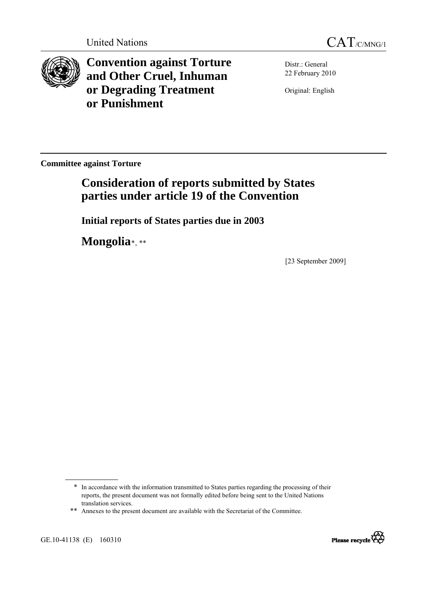



**Convention against Torture and Other Cruel, Inhuman or Degrading Treatment or Punishment**

Distr.: General 22 February 2010

Original: English

**Committee against Torture** 

# **Consideration of reports submitted by States parties under article 19 of the Convention**

 **Initial reports of States parties due in 2003** 

 **Mongolia**[\\*](#page-0-0), [\\*\\*](#page-0-1)

[23 September 2009]

<span id="page-0-1"></span><span id="page-0-0"></span>GE.10-41138 (E) 160310



<sup>\*</sup> In accordance with the information transmitted to States parties regarding the processing of their reports, the present document was not formally edited before being sent to the United Nations translation services.

<sup>\*\*</sup> Annexes to the present document are available with the Secretariat of the Committee.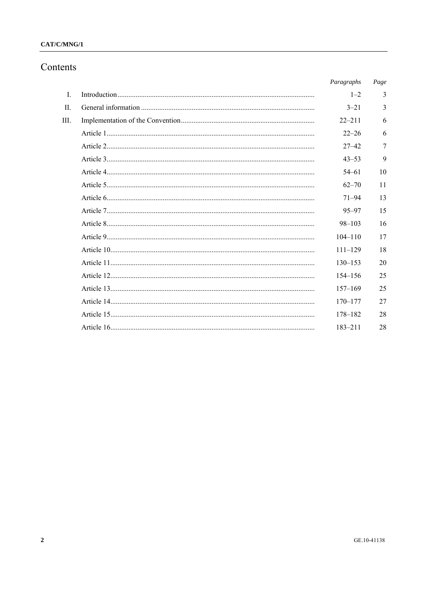### $CAT/C/MNG/1$

# Contents

|              | Paragraphs  | Page |
|--------------|-------------|------|
| $\mathbf{I}$ | $1 - 2$     | 3    |
| $\mathbf{H}$ | $3 - 21$    | 3    |
| Ш            | $22 - 211$  | 6    |
|              | $22 - 26$   | 6    |
|              | $27 - 42$   | 7    |
|              | $43 - 53$   | 9    |
|              | $54 - 61$   | 10   |
|              | $62 - 70$   | 11   |
|              | $71 - 94$   | 13   |
|              | $95 - 97$   | 15   |
|              | $98 - 103$  | 16   |
|              | $104 - 110$ | 17   |
|              | $111 - 129$ | 18   |
|              | $130 - 153$ | 20   |
|              | $154 - 156$ | 25   |
|              | $157 - 169$ | 25   |
|              | $170 - 177$ | 27   |
|              | $178 - 182$ | 28   |
|              | $183 - 211$ | 28   |
|              |             |      |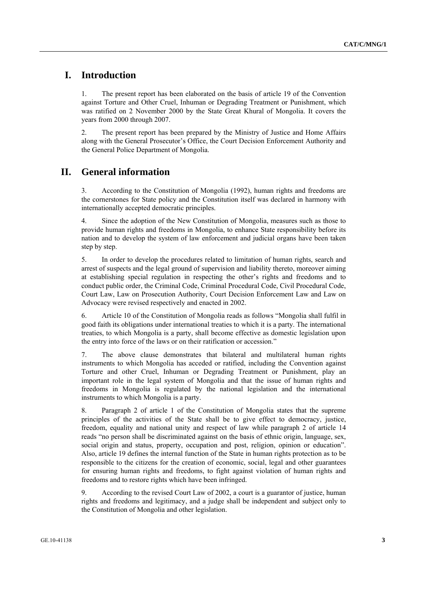## **I. Introduction**

1. The present report has been elaborated on the basis of article 19 of the Convention against Torture and Other Cruel, Inhuman or Degrading Treatment or Punishment, which was ratified on 2 November 2000 by the State Great Khural of Mongolia. It covers the years from 2000 through 2007.

2. The present report has been prepared by the Ministry of Justice and Home Affairs along with the General Prosecutor's Office, the Court Decision Enforcement Authority and the General Police Department of Mongolia.

# **II. General information**

3. According to the Constitution of Mongolia (1992), human rights and freedoms are the cornerstones for State policy and the Constitution itself was declared in harmony with internationally accepted democratic principles.

4. Since the adoption of the New Constitution of Mongolia, measures such as those to provide human rights and freedoms in Mongolia, to enhance State responsibility before its nation and to develop the system of law enforcement and judicial organs have been taken step by step.

5. In order to develop the procedures related to limitation of human rights, search and arrest of suspects and the legal ground of supervision and liability thereto, moreover aiming at establishing special regulation in respecting the other's rights and freedoms and to conduct public order, the Criminal Code, Criminal Procedural Code, Civil Procedural Code, Court Law, Law on Prosecution Authority, Court Decision Enforcement Law and Law on Advocacy were revised respectively and enacted in 2002.

6. Article 10 of the Constitution of Mongolia reads as follows "Mongolia shall fulfil in good faith its obligations under international treaties to which it is a party. The international treaties, to which Mongolia is a party, shall become effective as domestic legislation upon the entry into force of the laws or on their ratification or accession."

7. The above clause demonstrates that bilateral and multilateral human rights instruments to which Mongolia has acceded or ratified, including the Convention against Torture and other Cruel, Inhuman or Degrading Treatment or Punishment, play an important role in the legal system of Mongolia and that the issue of human rights and freedoms in Mongolia is regulated by the national legislation and the international instruments to which Mongolia is a party.

8. Paragraph 2 of article 1 of the Constitution of Mongolia states that the supreme principles of the activities of the State shall be to give effect to democracy, justice, freedom, equality and national unity and respect of law while paragraph 2 of article 14 reads "no person shall be discriminated against on the basis of ethnic origin, language, sex, social origin and status, property, occupation and post, religion, opinion or education". Also, article 19 defines the internal function of the State in human rights protection as to be responsible to the citizens for the creation of economic, social, legal and other guarantees for ensuring human rights and freedoms, to fight against violation of human rights and freedoms and to restore rights which have been infringed.

9. According to the revised Court Law of 2002, a court is a guarantor of justice, human rights and freedoms and legitimacy, and a judge shall be independent and subject only to the Constitution of Mongolia and other legislation.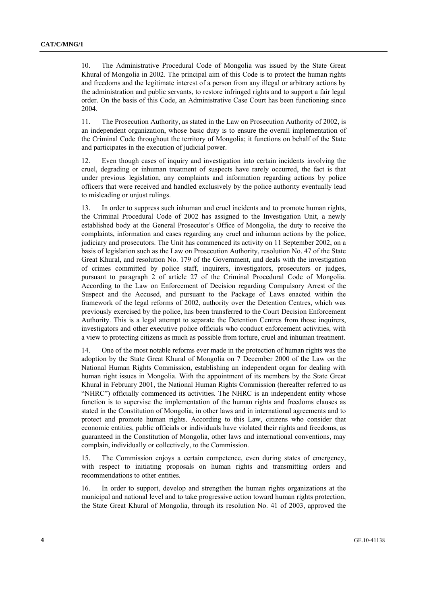10. The Administrative Procedural Code of Mongolia was issued by the State Great Khural of Mongolia in 2002. The principal aim of this Code is to protect the human rights and freedoms and the legitimate interest of a person from any illegal or arbitrary actions by the administration and public servants, to restore infringed rights and to support a fair legal order. On the basis of this Code, an Administrative Case Court has been functioning since 2004.

11. The Prosecution Authority, as stated in the Law on Prosecution Authority of 2002, is an independent organization, whose basic duty is to ensure the overall implementation of the Criminal Code throughout the territory of Mongolia; it functions on behalf of the State and participates in the execution of judicial power.

12. Even though cases of inquiry and investigation into certain incidents involving the cruel, degrading or inhuman treatment of suspects have rarely occurred, the fact is that under previous legislation, any complaints and information regarding actions by police officers that were received and handled exclusively by the police authority eventually lead to misleading or unjust rulings.

13. In order to suppress such inhuman and cruel incidents and to promote human rights, the Criminal Procedural Code of 2002 has assigned to the Investigation Unit, a newly established body at the General Prosecutor's Office of Mongolia, the duty to receive the complaints, information and cases regarding any cruel and inhuman actions by the police, judiciary and prosecutors. The Unit has commenced its activity on 11 September 2002, on a basis of legislation such as the Law on Prosecution Authority, resolution No. 47 of the State Great Khural, and resolution No. 179 of the Government, and deals with the investigation of crimes committed by police staff, inquirers, investigators, prosecutors or judges, pursuant to paragraph 2 of article 27 of the Criminal Procedural Code of Mongolia. According to the Law on Enforcement of Decision regarding Compulsory Arrest of the Suspect and the Accused, and pursuant to the Package of Laws enacted within the framework of the legal reforms of 2002, authority over the Detention Centres, which was previously exercised by the police, has been transferred to the Court Decision Enforcement Authority. This is a legal attempt to separate the Detention Centres from those inquirers, investigators and other executive police officials who conduct enforcement activities, with a view to protecting citizens as much as possible from torture, cruel and inhuman treatment.

14. One of the most notable reforms ever made in the protection of human rights was the adoption by the State Great Khural of Mongolia on 7 December 2000 of the Law on the National Human Rights Commission, establishing an independent organ for dealing with human right issues in Mongolia. With the appointment of its members by the State Great Khural in February 2001, the National Human Rights Commission (hereafter referred to as "NHRC") officially commenced its activities. The NHRC is an independent entity whose function is to supervise the implementation of the human rights and freedoms clauses as stated in the Constitution of Mongolia, in other laws and in international agreements and to protect and promote human rights. According to this Law, citizens who consider that economic entities, public officials or individuals have violated their rights and freedoms, as guaranteed in the Constitution of Mongolia, other laws and international conventions, may complain, individually or collectively, to the Commission.

15. The Commission enjoys a certain competence, even during states of emergency, with respect to initiating proposals on human rights and transmitting orders and recommendations to other entities.

16. In order to support, develop and strengthen the human rights organizations at the municipal and national level and to take progressive action toward human rights protection, the State Great Khural of Mongolia, through its resolution No. 41 of 2003, approved the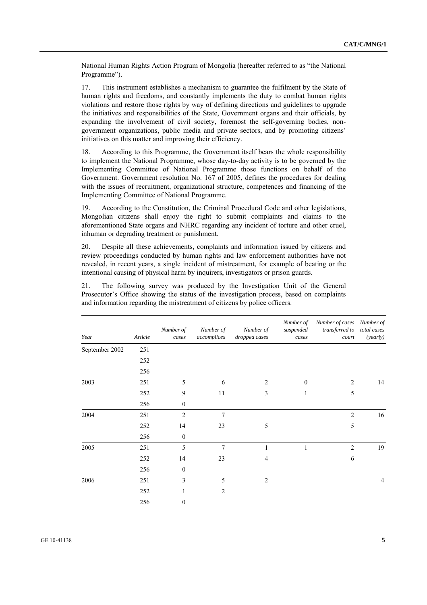National Human Rights Action Program of Mongolia (hereafter referred to as "the National Programme").

17. This instrument establishes a mechanism to guarantee the fulfilment by the State of human rights and freedoms, and constantly implements the duty to combat human rights violations and restore those rights by way of defining directions and guidelines to upgrade the initiatives and responsibilities of the State, Government organs and their officials, by expanding the involvement of civil society, foremost the self-governing bodies, nongovernment organizations, public media and private sectors, and by promoting citizens' initiatives on this matter and improving their efficiency.

18. According to this Programme, the Government itself bears the whole responsibility to implement the National Programme, whose day-to-day activity is to be governed by the Implementing Committee of National Programme those functions on behalf of the Government. Government resolution No. 167 of 2005, defines the procedures for dealing with the issues of recruitment, organizational structure, competences and financing of the Implementing Committee of National Programme.

19. According to the Constitution, the Criminal Procedural Code and other legislations, Mongolian citizens shall enjoy the right to submit complaints and claims to the aforementioned State organs and NHRC regarding any incident of torture and other cruel, inhuman or degrading treatment or punishment.

20. Despite all these achievements, complaints and information issued by citizens and review proceedings conducted by human rights and law enforcement authorities have not revealed, in recent years, a single incident of mistreatment, for example of beating or the intentional causing of physical harm by inquirers, investigators or prison guards.

21. The following survey was produced by the Investigation Unit of the General Prosecutor's Office showing the status of the investigation process, based on complaints and information regarding the mistreatment of citizens by police officers.

| Year           | Article | Number of<br>cases | Number of<br>accomplices | Number of<br>dropped cases | Number of<br>suspended<br>cases | Number of cases Number of<br>transferred to total cases<br>court | (yearly)       |
|----------------|---------|--------------------|--------------------------|----------------------------|---------------------------------|------------------------------------------------------------------|----------------|
| September 2002 | 251     |                    |                          |                            |                                 |                                                                  |                |
|                | 252     |                    |                          |                            |                                 |                                                                  |                |
|                | 256     |                    |                          |                            |                                 |                                                                  |                |
| 2003           | 251     | 5                  | 6                        | 2                          | $\theta$                        | $\overline{2}$                                                   | 14             |
|                | 252     | 9                  | 11                       | 3                          | 1                               | 5                                                                |                |
|                | 256     | $\boldsymbol{0}$   |                          |                            |                                 |                                                                  |                |
| 2004           | 251     | $\overline{2}$     | 7                        |                            |                                 | $\overline{2}$                                                   | 16             |
|                | 252     | 14                 | 23                       | 5                          |                                 | 5                                                                |                |
|                | 256     | $\boldsymbol{0}$   |                          |                            |                                 |                                                                  |                |
| 2005           | 251     | 5                  | $\overline{7}$           | 1                          | 1                               | $\overline{c}$                                                   | 19             |
|                | 252     | 14                 | 23                       | 4                          |                                 | 6                                                                |                |
|                | 256     | $\boldsymbol{0}$   |                          |                            |                                 |                                                                  |                |
| 2006           | 251     | 3                  | 5                        | $\overline{2}$             |                                 |                                                                  | $\overline{4}$ |
|                | 252     | 1                  | 2                        |                            |                                 |                                                                  |                |
|                | 256     | $\boldsymbol{0}$   |                          |                            |                                 |                                                                  |                |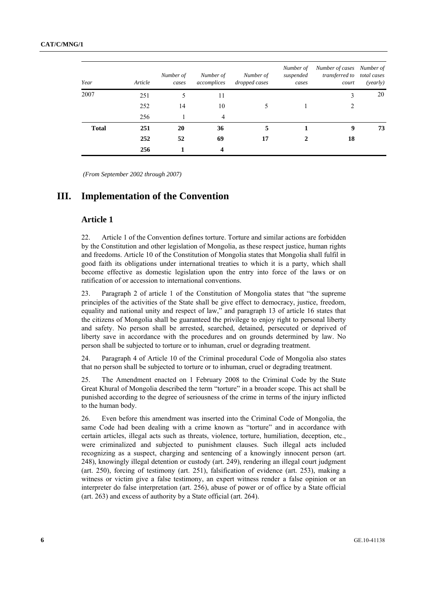| Year         | Article | Number of<br>cases | Number of<br>accomplices | Number of<br>dropped cases | Number of<br>suspended<br>cases | Number of cases Number of<br>transferred to total cases<br>court | (yearly) |
|--------------|---------|--------------------|--------------------------|----------------------------|---------------------------------|------------------------------------------------------------------|----------|
| 2007         | 251     |                    | 11                       |                            |                                 |                                                                  | 20       |
|              | 252     | 14                 | 10                       |                            |                                 |                                                                  |          |
|              | 256     |                    | $\overline{4}$           |                            |                                 |                                                                  |          |
| <b>Total</b> | 251     | 20                 | 36                       | 5                          |                                 | 9                                                                | 73       |
|              | 252     | 52                 | 69                       | 17                         |                                 | 18                                                               |          |
|              | 256     |                    | 4                        |                            |                                 |                                                                  |          |

 *(From September 2002 through 2007)* 

### **III. Implementation of the Convention**

### **Article 1**

22. Article 1 of the Convention defines torture. Torture and similar actions are forbidden by the Constitution and other legislation of Mongolia, as these respect justice, human rights and freedoms. Article 10 of the Constitution of Mongolia states that Mongolia shall fulfil in good faith its obligations under international treaties to which it is a party, which shall become effective as domestic legislation upon the entry into force of the laws or on ratification of or accession to international conventions.

23. Paragraph 2 of article 1 of the Constitution of Mongolia states that "the supreme principles of the activities of the State shall be give effect to democracy, justice, freedom, equality and national unity and respect of law," and paragraph 13 of article 16 states that the citizens of Mongolia shall be guaranteed the privilege to enjoy right to personal liberty and safety. No person shall be arrested, searched, detained, persecuted or deprived of liberty save in accordance with the procedures and on grounds determined by law. No person shall be subjected to torture or to inhuman, cruel or degrading treatment.

24. Paragraph 4 of Article 10 of the Criminal procedural Code of Mongolia also states that no person shall be subjected to torture or to inhuman, cruel or degrading treatment.

25. The Amendment enacted on 1 February 2008 to the Criminal Code by the State Great Khural of Mongolia described the term "torture" in a broader scope. This act shall be punished according to the degree of seriousness of the crime in terms of the injury inflicted to the human body.

26. Even before this amendment was inserted into the Criminal Code of Mongolia, the same Code had been dealing with a crime known as "torture" and in accordance with certain articles, illegal acts such as threats, violence, torture, humiliation, deception, etc., were criminalized and subjected to punishment clauses. Such illegal acts included recognizing as a suspect, charging and sentencing of a knowingly innocent person (art. 248), knowingly illegal detention or custody (art. 249), rendering an illegal court judgment (art. 250), forcing of testimony (art. 251), falsification of evidence (art. 253), making a witness or victim give a false testimony, an expert witness render a false opinion or an interpreter do false interpretation (art. 256), abuse of power or of office by a State official (art. 263) and excess of authority by a State official (art. 264).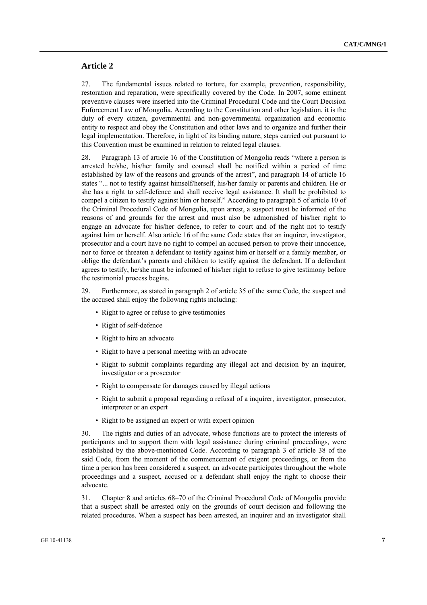### **Article 2**

27. The fundamental issues related to torture, for example, prevention, responsibility, restoration and reparation, were specifically covered by the Code. In 2007, some eminent preventive clauses were inserted into the Criminal Procedural Code and the Court Decision Enforcement Law of Mongolia. According to the Constitution and other legislation, it is the duty of every citizen, governmental and non-governmental organization and economic entity to respect and obey the Constitution and other laws and to organize and further their legal implementation. Therefore, in light of its binding nature, steps carried out pursuant to this Convention must be examined in relation to related legal clauses.

28. Paragraph 13 of article 16 of the Constitution of Mongolia reads "where a person is arrested he/she, his/her family and counsel shall be notified within a period of time established by law of the reasons and grounds of the arrest", and paragraph 14 of article 16 states "... not to testify against himself/herself, his/her family or parents and children. He or she has a right to self-defence and shall receive legal assistance. It shall be prohibited to compel a citizen to testify against him or herself." According to paragraph 5 of article 10 of the Criminal Procedural Code of Mongolia, upon arrest, a suspect must be informed of the reasons of and grounds for the arrest and must also be admonished of his/her right to engage an advocate for his/her defence, to refer to court and of the right not to testify against him or herself. Also article 16 of the same Code states that an inquirer, investigator, prosecutor and a court have no right to compel an accused person to prove their innocence, nor to force or threaten a defendant to testify against him or herself or a family member, or oblige the defendant's parents and children to testify against the defendant. If a defendant agrees to testify, he/she must be informed of his/her right to refuse to give testimony before the testimonial process begins.

29. Furthermore, as stated in paragraph 2 of article 35 of the same Code, the suspect and the accused shall enjoy the following rights including:

- Right to agree or refuse to give testimonies
- Right of self-defence
- Right to hire an advocate
- Right to have a personal meeting with an advocate
- Right to submit complaints regarding any illegal act and decision by an inquirer, investigator or a prosecutor
- Right to compensate for damages caused by illegal actions
- Right to submit a proposal regarding a refusal of a inquirer, investigator, prosecutor, interpreter or an expert
- Right to be assigned an expert or with expert opinion

30. The rights and duties of an advocate, whose functions are to protect the interests of participants and to support them with legal assistance during criminal proceedings, were established by the above-mentioned Code. According to paragraph 3 of article 38 of the said Code, from the moment of the commencement of exigent proceedings, or from the time a person has been considered a suspect, an advocate participates throughout the whole proceedings and a suspect, accused or a defendant shall enjoy the right to choose their advocate.

31. Chapter 8 and articles 68–70 of the Criminal Procedural Code of Mongolia provide that a suspect shall be arrested only on the grounds of court decision and following the related procedures. When a suspect has been arrested, an inquirer and an investigator shall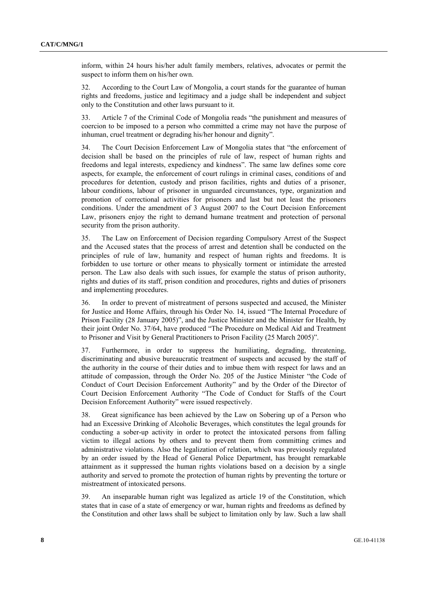inform, within 24 hours his/her adult family members, relatives, advocates or permit the suspect to inform them on his/her own.

32. According to the Court Law of Mongolia, a court stands for the guarantee of human rights and freedoms, justice and legitimacy and a judge shall be independent and subject only to the Constitution and other laws pursuant to it.

33. Article 7 of the Criminal Code of Mongolia reads "the punishment and measures of coercion to be imposed to a person who committed a crime may not have the purpose of inhuman, cruel treatment or degrading his/her honour and dignity".

34. The Court Decision Enforcement Law of Mongolia states that "the enforcement of decision shall be based on the principles of rule of law, respect of human rights and freedoms and legal interests, expediency and kindness". The same law defines some core aspects, for example, the enforcement of court rulings in criminal cases, conditions of and procedures for detention, custody and prison facilities, rights and duties of a prisoner, labour conditions, labour of prisoner in unguarded circumstances, type, organization and promotion of correctional activities for prisoners and last but not least the prisoners conditions. Under the amendment of 3 August 2007 to the Court Decision Enforcement Law, prisoners enjoy the right to demand humane treatment and protection of personal security from the prison authority.

35. The Law on Enforcement of Decision regarding Compulsory Arrest of the Suspect and the Accused states that the process of arrest and detention shall be conducted on the principles of rule of law, humanity and respect of human rights and freedoms. It is forbidden to use torture or other means to physically torment or intimidate the arrested person. The Law also deals with such issues, for example the status of prison authority, rights and duties of its staff, prison condition and procedures, rights and duties of prisoners and implementing procedures.

36. In order to prevent of mistreatment of persons suspected and accused, the Minister for Justice and Home Affairs, through his Order No. 14, issued "The Internal Procedure of Prison Facility (28 January 2005)", and the Justice Minister and the Minister for Health, by their joint Order No. 37/64, have produced "The Procedure on Medical Aid and Treatment to Prisoner and Visit by General Practitioners to Prison Facility (25 March 2005)".

37. Furthermore, in order to suppress the humiliating, degrading, threatening, discriminating and abusive bureaucratic treatment of suspects and accused by the staff of the authority in the course of their duties and to imbue them with respect for laws and an attitude of compassion, through the Order No. 205 of the Justice Minister "the Code of Conduct of Court Decision Enforcement Authority" and by the Order of the Director of Court Decision Enforcement Authority "The Code of Conduct for Staffs of the Court Decision Enforcement Authority" were issued respectively.

38. Great significance has been achieved by the Law on Sobering up of a Person who had an Excessive Drinking of Alcoholic Beverages, which constitutes the legal grounds for conducting a sober-up activity in order to protect the intoxicated persons from falling victim to illegal actions by others and to prevent them from committing crimes and administrative violations. Also the legalization of relation, which was previously regulated by an order issued by the Head of General Police Department, has brought remarkable attainment as it suppressed the human rights violations based on a decision by a single authority and served to promote the protection of human rights by preventing the torture or mistreatment of intoxicated persons.

39. An inseparable human right was legalized as article 19 of the Constitution, which states that in case of a state of emergency or war, human rights and freedoms as defined by the Constitution and other laws shall be subject to limitation only by law. Such a law shall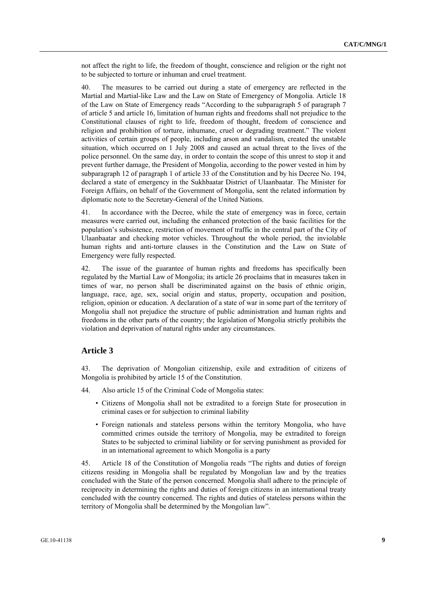not affect the right to life, the freedom of thought, conscience and religion or the right not to be subjected to torture or inhuman and cruel treatment.

40. The measures to be carried out during a state of emergency are reflected in the Martial and Martial-like Law and the Law on State of Emergency of Mongolia. Article 18 of the Law on State of Emergency reads "According to the subparagraph 5 of paragraph 7 of article 5 and article 16, limitation of human rights and freedoms shall not prejudice to the Constitutional clauses of right to life, freedom of thought, freedom of conscience and religion and prohibition of torture, inhumane, cruel or degrading treatment." The violent activities of certain groups of people, including arson and vandalism, created the unstable situation, which occurred on 1 July 2008 and caused an actual threat to the lives of the police personnel. On the same day, in order to contain the scope of this unrest to stop it and prevent further damage, the President of Mongolia, according to the power vested in him by subparagraph 12 of paragraph 1 of article 33 of the Constitution and by his Decree No. 194, declared a state of emergency in the Sukhbaatar District of Ulaanbaatar. The Minister for Foreign Affairs, on behalf of the Government of Mongolia, sent the related information by diplomatic note to the Secretary-General of the United Nations.

41. In accordance with the Decree, while the state of emergency was in force, certain measures were carried out, including the enhanced protection of the basic facilities for the population's subsistence, restriction of movement of traffic in the central part of the City of Ulaanbaatar and checking motor vehicles. Throughout the whole period, the inviolable human rights and anti-torture clauses in the Constitution and the Law on State of Emergency were fully respected.

42. The issue of the guarantee of human rights and freedoms has specifically been regulated by the Martial Law of Mongolia; its article 26 proclaims that in measures taken in times of war, no person shall be discriminated against on the basis of ethnic origin, language, race, age, sex, social origin and status, property, occupation and position, religion, opinion or education. A declaration of a state of war in some part of the territory of Mongolia shall not prejudice the structure of public administration and human rights and freedoms in the other parts of the country; the legislation of Mongolia strictly prohibits the violation and deprivation of natural rights under any circumstances.

### **Article 3**

43. The deprivation of Mongolian citizenship, exile and extradition of citizens of Mongolia is prohibited by article 15 of the Constitution.

- 44. Also article 15 of the Criminal Code of Mongolia states:
	- Citizens of Mongolia shall not be extradited to a foreign State for prosecution in criminal cases or for subjection to criminal liability
	- Foreign nationals and stateless persons within the territory Mongolia, who have committed crimes outside the territory of Mongolia, may be extradited to foreign States to be subjected to criminal liability or for serving punishment as provided for in an international agreement to which Mongolia is a party

45. Article 18 of the Constitution of Mongolia reads "The rights and duties of foreign citizens residing in Mongolia shall be regulated by Mongolian law and by the treaties concluded with the State of the person concerned. Mongolia shall adhere to the principle of reciprocity in determining the rights and duties of foreign citizens in an international treaty concluded with the country concerned. The rights and duties of stateless persons within the territory of Mongolia shall be determined by the Mongolian law".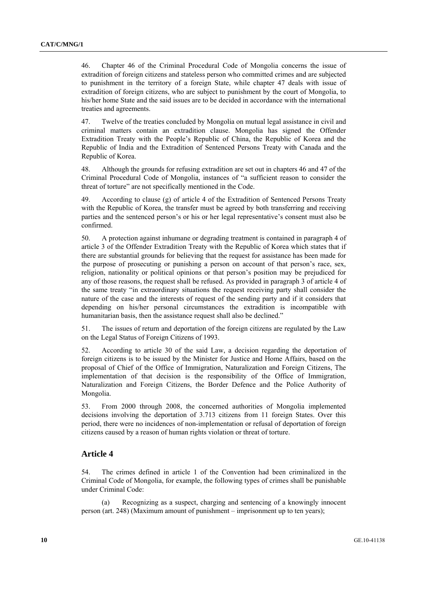46. Chapter 46 of the Criminal Procedural Code of Mongolia concerns the issue of extradition of foreign citizens and stateless person who committed crimes and are subjected to punishment in the territory of a foreign State, while chapter 47 deals with issue of extradition of foreign citizens, who are subject to punishment by the court of Mongolia, to his/her home State and the said issues are to be decided in accordance with the international treaties and agreements.

47. Twelve of the treaties concluded by Mongolia on mutual legal assistance in civil and criminal matters contain an extradition clause. Mongolia has signed the Offender Extradition Treaty with the People's Republic of China, the Republic of Korea and the Republic of India and the Extradition of Sentenced Persons Treaty with Canada and the Republic of Korea.

48. Although the grounds for refusing extradition are set out in chapters 46 and 47 of the Criminal Procedural Code of Mongolia, instances of "a sufficient reason to consider the threat of torture" are not specifically mentioned in the Code.

49. According to clause (g) of article 4 of the Extradition of Sentenced Persons Treaty with the Republic of Korea, the transfer must be agreed by both transferring and receiving parties and the sentenced person's or his or her legal representative's consent must also be confirmed.

50. A protection against inhumane or degrading treatment is contained in paragraph 4 of article 3 of the Offender Extradition Treaty with the Republic of Korea which states that if there are substantial grounds for believing that the request for assistance has been made for the purpose of prosecuting or punishing a person on account of that person's race, sex, religion, nationality or political opinions or that person's position may be prejudiced for any of those reasons, the request shall be refused. As provided in paragraph 3 of article 4 of the same treaty "in extraordinary situations the request receiving party shall consider the nature of the case and the interests of request of the sending party and if it considers that depending on his/her personal circumstances the extradition is incompatible with humanitarian basis, then the assistance request shall also be declined."

51. The issues of return and deportation of the foreign citizens are regulated by the Law on the Legal Status of Foreign Citizens of 1993.

52. According to article 30 of the said Law, a decision regarding the deportation of foreign citizens is to be issued by the Minister for Justice and Home Affairs, based on the proposal of Chief of the Office of Immigration, Naturalization and Foreign Citizens, The implementation of that decision is the responsibility of the Office of Immigration, Naturalization and Foreign Citizens, the Border Defence and the Police Authority of Mongolia.

53. From 2000 through 2008, the concerned authorities of Mongolia implemented decisions involving the deportation of 3.713 citizens from 11 foreign States. Over this period, there were no incidences of non-implementation or refusal of deportation of foreign citizens caused by a reason of human rights violation or threat of torture.

### **Article 4**

54. The crimes defined in article 1 of the Convention had been criminalized in the Criminal Code of Mongolia, for example, the following types of crimes shall be punishable under Criminal Code:

 (a) Recognizing as a suspect, charging and sentencing of a knowingly innocent person (art. 248) (Maximum amount of punishment – imprisonment up to ten years);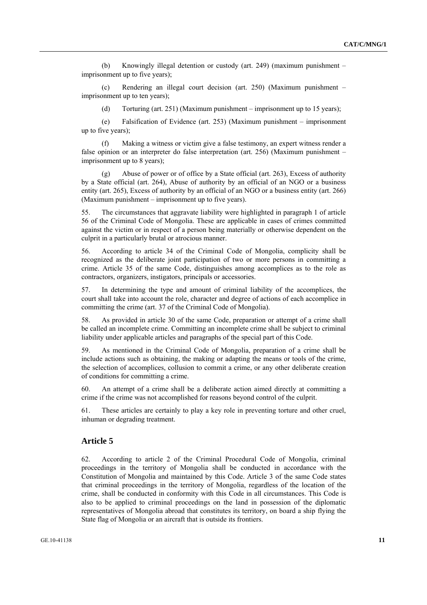(b) Knowingly illegal detention or custody (art. 249) (maximum punishment – imprisonment up to five years);

 (c) Rendering an illegal court decision (art. 250) (Maximum punishment – imprisonment up to ten years);

(d) Torturing (art. 251) (Maximum punishment – imprisonment up to 15 years);

 (e) Falsification of Evidence (art. 253) (Maximum punishment – imprisonment up to five years);

Making a witness or victim give a false testimony, an expert witness render a false opinion or an interpreter do false interpretation (art. 256) (Maximum punishment – imprisonment up to 8 years);

 (g) Abuse of power or of office by a State official (art. 263), Excess of authority by a State official (art. 264), Abuse of authority by an official of an NGO or a business entity (art. 265), Excess of authority by an official of an NGO or a business entity (art. 266) (Maximum punishment – imprisonment up to five years).

55. The circumstances that aggravate liability were highlighted in paragraph 1 of article 56 of the Criminal Code of Mongolia. These are applicable in cases of crimes committed against the victim or in respect of a person being materially or otherwise dependent on the culprit in a particularly brutal or atrocious manner.

56. According to article 34 of the Criminal Code of Mongolia, complicity shall be recognized as the deliberate joint participation of two or more persons in committing a crime. Article 35 of the same Code, distinguishes among accomplices as to the role as contractors, organizers, instigators, principals or accessories.

57. In determining the type and amount of criminal liability of the accomplices, the court shall take into account the role, character and degree of actions of each accomplice in committing the crime (art. 37 of the Criminal Code of Mongolia).

58. As provided in article 30 of the same Code, preparation or attempt of a crime shall be called an incomplete crime. Committing an incomplete crime shall be subject to criminal liability under applicable articles and paragraphs of the special part of this Code.

59. As mentioned in the Criminal Code of Mongolia, preparation of a crime shall be include actions such as obtaining, the making or adapting the means or tools of the crime, the selection of accomplices, collusion to commit a crime, or any other deliberate creation of conditions for committing a crime.

60. An attempt of a crime shall be a deliberate action aimed directly at committing a crime if the crime was not accomplished for reasons beyond control of the culprit.

61. These articles are certainly to play a key role in preventing torture and other cruel, inhuman or degrading treatment.

### **Article 5**

62. According to article 2 of the Criminal Procedural Code of Mongolia, criminal proceedings in the territory of Mongolia shall be conducted in accordance with the Constitution of Mongolia and maintained by this Code. Article 3 of the same Code states that criminal proceedings in the territory of Mongolia, regardless of the location of the crime, shall be conducted in conformity with this Code in all circumstances. This Code is also to be applied to criminal proceedings on the land in possession of the diplomatic representatives of Mongolia abroad that constitutes its territory, on board a ship flying the State flag of Mongolia or an aircraft that is outside its frontiers.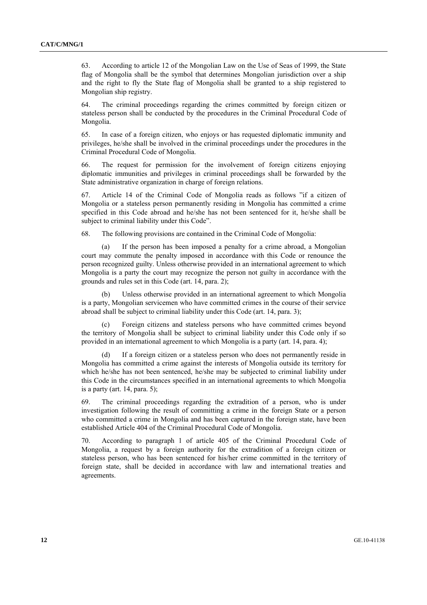63. According to article 12 of the Mongolian Law on the Use of Seas of 1999, the State flag of Mongolia shall be the symbol that determines Mongolian jurisdiction over a ship and the right to fly the State flag of Mongolia shall be granted to a ship registered to Mongolian ship registry.

64. The criminal proceedings regarding the crimes committed by foreign citizen or stateless person shall be conducted by the procedures in the Criminal Procedural Code of Mongolia.

65. In case of a foreign citizen, who enjoys or has requested diplomatic immunity and privileges, he/she shall be involved in the criminal proceedings under the procedures in the Criminal Procedural Code of Mongolia.

66. The request for permission for the involvement of foreign citizens enjoying diplomatic immunities and privileges in criminal proceedings shall be forwarded by the State administrative organization in charge of foreign relations.

67. Article 14 of the Criminal Code of Mongolia reads as follows "if a citizen of Mongolia or a stateless person permanently residing in Mongolia has committed a crime specified in this Code abroad and he/she has not been sentenced for it, he/she shall be subject to criminal liability under this Code".

68. The following provisions are contained in the Criminal Code of Mongolia:

 (a) If the person has been imposed a penalty for a crime abroad, a Mongolian court may commute the penalty imposed in accordance with this Code or renounce the person recognized guilty. Unless otherwise provided in an international agreement to which Mongolia is a party the court may recognize the person not guilty in accordance with the grounds and rules set in this Code (art. 14, para. 2);

 (b) Unless otherwise provided in an international agreement to which Mongolia is a party, Mongolian servicemen who have committed crimes in the course of their service abroad shall be subject to criminal liability under this Code (art. 14, para. 3);

 (c) Foreign citizens and stateless persons who have committed crimes beyond the territory of Mongolia shall be subject to criminal liability under this Code only if so provided in an international agreement to which Mongolia is a party (art. 14, para. 4);

If a foreign citizen or a stateless person who does not permanently reside in Mongolia has committed a crime against the interests of Mongolia outside its territory for which he/she has not been sentenced, he/she may be subjected to criminal liability under this Code in the circumstances specified in an international agreements to which Mongolia is a party (art. 14, para. 5);

69. The criminal proceedings regarding the extradition of a person, who is under investigation following the result of committing a crime in the foreign State or a person who committed a crime in Mongolia and has been captured in the foreign state, have been established Article 404 of the Criminal Procedural Code of Mongolia.

70. According to paragraph 1 of article 405 of the Criminal Procedural Code of Mongolia, a request by a foreign authority for the extradition of a foreign citizen or stateless person, who has been sentenced for his/her crime committed in the territory of foreign state, shall be decided in accordance with law and international treaties and agreements.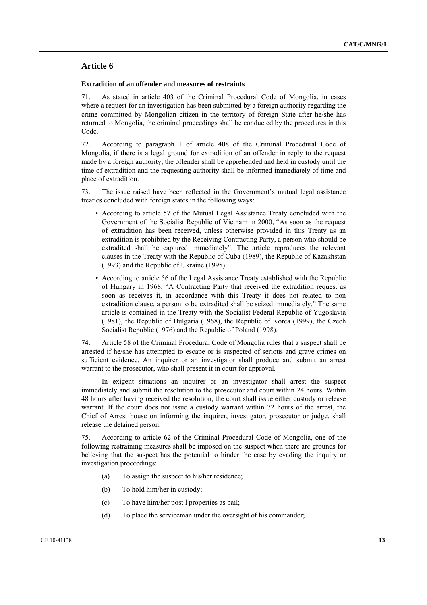### **Article 6**

#### **Extradition of an offender and measures of restraints**

71. As stated in article 403 of the Criminal Procedural Code of Mongolia, in cases where a request for an investigation has been submitted by a foreign authority regarding the crime committed by Mongolian citizen in the territory of foreign State after he/she has returned to Mongolia, the criminal proceedings shall be conducted by the procedures in this Code.

72. According to paragraph 1 of article 408 of the Criminal Procedural Code of Mongolia, if there is a legal ground for extradition of an offender in reply to the request made by a foreign authority, the offender shall be apprehended and held in custody until the time of extradition and the requesting authority shall be informed immediately of time and place of extradition.

73. The issue raised have been reflected in the Government's mutual legal assistance treaties concluded with foreign states in the following ways:

- According to article 57 of the Mutual Legal Assistance Treaty concluded with the Government of the Socialist Republic of Vietnam in 2000, "As soon as the request of extradition has been received, unless otherwise provided in this Treaty as an extradition is prohibited by the Receiving Contracting Party, a person who should be extradited shall be captured immediately". The article reproduces the relevant clauses in the Treaty with the Republic of Cuba (1989), the Republic of Kazakhstan (1993) and the Republic of Ukraine (1995).
- According to article 56 of the Legal Assistance Treaty established with the Republic of Hungary in 1968, "A Contracting Party that received the extradition request as soon as receives it, in accordance with this Treaty it does not related to non extradition clause, a person to be extradited shall be seized immediately." The same article is contained in the Treaty with the Socialist Federal Republic of Yugoslavia (1981), the Republic of Bulgaria (1968), the Republic of Korea (1999), the Czech Socialist Republic (1976) and the Republic of Poland (1998).

74. Article 58 of the Criminal Procedural Code of Mongolia rules that a suspect shall be arrested if he/she has attempted to escape or is suspected of serious and grave crimes on sufficient evidence. An inquirer or an investigator shall produce and submit an arrest warrant to the prosecutor, who shall present it in court for approval.

 In exigent situations an inquirer or an investigator shall arrest the suspect immediately and submit the resolution to the prosecutor and court within 24 hours. Within 48 hours after having received the resolution, the court shall issue either custody or release warrant. If the court does not issue a custody warrant within 72 hours of the arrest, the Chief of Arrest house on informing the inquirer, investigator, prosecutor or judge, shall release the detained person.

75. According to article 62 of the Criminal Procedural Code of Mongolia, one of the following restraining measures shall be imposed on the suspect when there are grounds for believing that the suspect has the potential to hinder the case by evading the inquiry or investigation proceedings:

- (a) To assign the suspect to his/her residence;
- (b) To hold him/her in custody;
- (c) To have him/her post l properties as bail;
- (d) To place the serviceman under the oversight of his commander;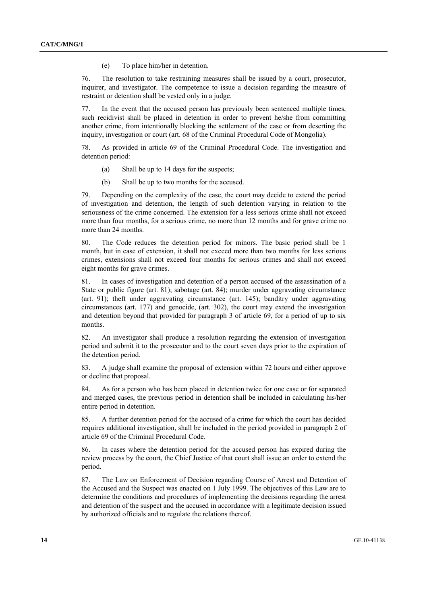(e) To place him/her in detention.

76. The resolution to take restraining measures shall be issued by a court, prosecutor, inquirer, and investigator. The competence to issue a decision regarding the measure of restraint or detention shall be vested only in a judge.

77. In the event that the accused person has previously been sentenced multiple times, such recidivist shall be placed in detention in order to prevent he/she from committing another crime, from intentionally blocking the settlement of the case or from deserting the inquiry, investigation or court (art. 68 of the Criminal Procedural Code of Mongolia).

78. As provided in article 69 of the Criminal Procedural Code. The investigation and detention period:

- (a) Shall be up to 14 days for the suspects;
- (b) Shall be up to two months for the accused.

79. Depending on the complexity of the case, the court may decide to extend the period of investigation and detention, the length of such detention varying in relation to the seriousness of the crime concerned. The extension for a less serious crime shall not exceed more than four months, for a serious crime, no more than 12 months and for grave crime no more than 24 months.

80. The Code reduces the detention period for minors. The basic period shall be 1 month, but in case of extension, it shall not exceed more than two months for less serious crimes, extensions shall not exceed four months for serious crimes and shall not exceed eight months for grave crimes.

81. In cases of investigation and detention of a person accused of the assassination of a State or public figure (art. 81); sabotage (art. 84); murder under aggravating circumstance (art. 91); theft under aggravating circumstance (art. 145); banditry under aggravating circumstances (art. 177) and genocide, (art. 302), the court may extend the investigation and detention beyond that provided for paragraph 3 of article 69, for a period of up to six months.

82. An investigator shall produce a resolution regarding the extension of investigation period and submit it to the prosecutor and to the court seven days prior to the expiration of the detention period.

83. A judge shall examine the proposal of extension within 72 hours and either approve or decline that proposal.

84. As for a person who has been placed in detention twice for one case or for separated and merged cases, the previous period in detention shall be included in calculating his/her entire period in detention.

85. A further detention period for the accused of a crime for which the court has decided requires additional investigation, shall be included in the period provided in paragraph 2 of article 69 of the Criminal Procedural Code.

86. In cases where the detention period for the accused person has expired during the review process by the court, the Chief Justice of that court shall issue an order to extend the period.

87. The Law on Enforcement of Decision regarding Course of Arrest and Detention of the Accused and the Suspect was enacted on 1 July 1999. The objectives of this Law are to determine the conditions and procedures of implementing the decisions regarding the arrest and detention of the suspect and the accused in accordance with a legitimate decision issued by authorized officials and to regulate the relations thereof.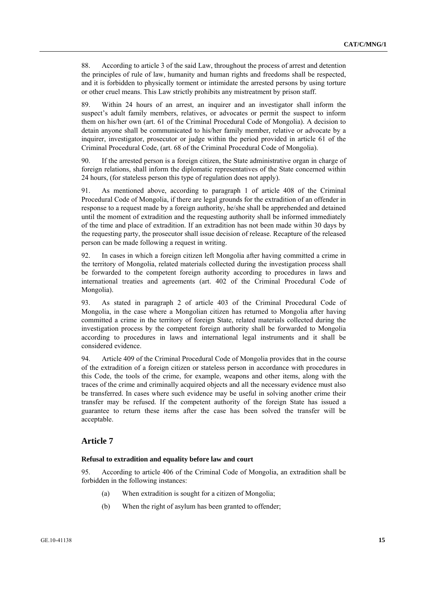88. According to article 3 of the said Law, throughout the process of arrest and detention the principles of rule of law, humanity and human rights and freedoms shall be respected, and it is forbidden to physically torment or intimidate the arrested persons by using torture or other cruel means. This Law strictly prohibits any mistreatment by prison staff.

89. Within 24 hours of an arrest, an inquirer and an investigator shall inform the suspect's adult family members, relatives, or advocates or permit the suspect to inform them on his/her own (art. 61 of the Criminal Procedural Code of Mongolia). A decision to detain anyone shall be communicated to his/her family member, relative or advocate by a inquirer, investigator, prosecutor or judge within the period provided in article 61 of the Criminal Procedural Code, (art. 68 of the Criminal Procedural Code of Mongolia).

90. If the arrested person is a foreign citizen, the State administrative organ in charge of foreign relations, shall inform the diplomatic representatives of the State concerned within 24 hours, (for stateless person this type of regulation does not apply).

91. As mentioned above, according to paragraph 1 of article 408 of the Criminal Procedural Code of Mongolia, if there are legal grounds for the extradition of an offender in response to a request made by a foreign authority, he/she shall be apprehended and detained until the moment of extradition and the requesting authority shall be informed immediately of the time and place of extradition. If an extradition has not been made within 30 days by the requesting party, the prosecutor shall issue decision of release. Recapture of the released person can be made following a request in writing.

92. In cases in which a foreign citizen left Mongolia after having committed a crime in the territory of Mongolia, related materials collected during the investigation process shall be forwarded to the competent foreign authority according to procedures in laws and international treaties and agreements (art. 402 of the Criminal Procedural Code of Mongolia).

93. As stated in paragraph 2 of article 403 of the Criminal Procedural Code of Mongolia, in the case where a Mongolian citizen has returned to Mongolia after having committed a crime in the territory of foreign State, related materials collected during the investigation process by the competent foreign authority shall be forwarded to Mongolia according to procedures in laws and international legal instruments and it shall be considered evidence.

94. Article 409 of the Criminal Procedural Code of Mongolia provides that in the course of the extradition of a foreign citizen or stateless person in accordance with procedures in this Code, the tools of the crime, for example, weapons and other items, along with the traces of the crime and criminally acquired objects and all the necessary evidence must also be transferred. In cases where such evidence may be useful in solving another crime their transfer may be refused. If the competent authority of the foreign State has issued a guarantee to return these items after the case has been solved the transfer will be acceptable.

### **Article 7**

#### **Refusal to extradition and equality before law and court**

95. According to article 406 of the Criminal Code of Mongolia, an extradition shall be forbidden in the following instances:

- (a) When extradition is sought for a citizen of Mongolia;
- (b) When the right of asylum has been granted to offender;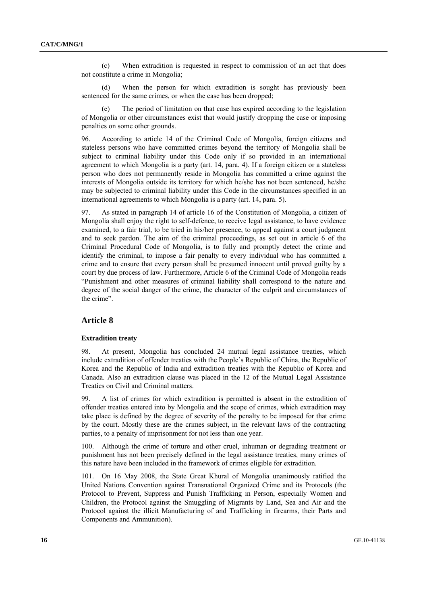(c) When extradition is requested in respect to commission of an act that does not constitute a crime in Mongolia;

 (d) When the person for which extradition is sought has previously been sentenced for the same crimes, or when the case has been dropped;

The period of limitation on that case has expired according to the legislation of Mongolia or other circumstances exist that would justify dropping the case or imposing penalties on some other grounds.

96. According to article 14 of the Criminal Code of Mongolia, foreign citizens and stateless persons who have committed crimes beyond the territory of Mongolia shall be subject to criminal liability under this Code only if so provided in an international agreement to which Mongolia is a party (art. 14, para. 4). If a foreign citizen or a stateless person who does not permanently reside in Mongolia has committed a crime against the interests of Mongolia outside its territory for which he/she has not been sentenced, he/she may be subjected to criminal liability under this Code in the circumstances specified in an international agreements to which Mongolia is a party (art. 14, para. 5).

97. As stated in paragraph 14 of article 16 of the Constitution of Mongolia, a citizen of Mongolia shall enjoy the right to self-defence, to receive legal assistance, to have evidence examined, to a fair trial, to be tried in his/her presence, to appeal against a court judgment and to seek pardon. The aim of the criminal proceedings, as set out in article 6 of the Criminal Procedural Code of Mongolia, is to fully and promptly detect the crime and identify the criminal, to impose a fair penalty to every individual who has committed a crime and to ensure that every person shall be presumed innocent until proved guilty by a court by due process of law. Furthermore, Article 6 of the Criminal Code of Mongolia reads "Punishment and other measures of criminal liability shall correspond to the nature and degree of the social danger of the crime, the character of the culprit and circumstances of the crime".

### **Article 8**

#### **Extradition treaty**

98. At present, Mongolia has concluded 24 mutual legal assistance treaties, which include extradition of offender treaties with the People's Republic of China, the Republic of Korea and the Republic of India and extradition treaties with the Republic of Korea and Canada. Also an extradition clause was placed in the 12 of the Mutual Legal Assistance Treaties on Civil and Criminal matters.

99. A list of crimes for which extradition is permitted is absent in the extradition of offender treaties entered into by Mongolia and the scope of crimes, which extradition may take place is defined by the degree of severity of the penalty to be imposed for that crime by the court. Mostly these are the crimes subject, in the relevant laws of the contracting parties, to a penalty of imprisonment for not less than one year.

100. Although the crime of torture and other cruel, inhuman or degrading treatment or punishment has not been precisely defined in the legal assistance treaties, many crimes of this nature have been included in the framework of crimes eligible for extradition.

101. On 16 May 2008, the State Great Khural of Mongolia unanimously ratified the United Nations Convention against Transnational Organized Crime and its Protocols (the Protocol to Prevent, Suppress and Punish Trafficking in Person, especially Women and Children, the Protocol against the Smuggling of Migrants by Land, Sea and Air and the Protocol against the illicit Manufacturing of and Trafficking in firearms, their Parts and Components and Ammunition).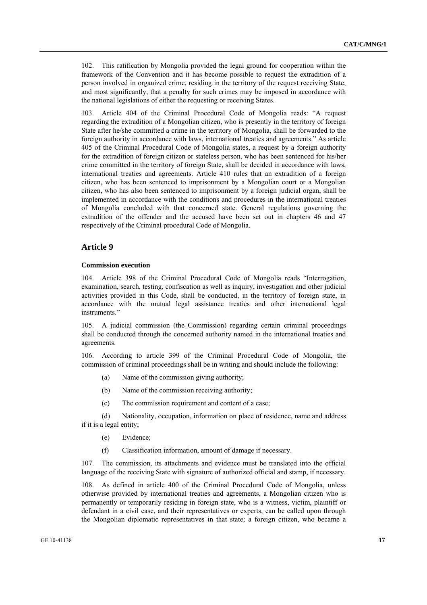102. This ratification by Mongolia provided the legal ground for cooperation within the framework of the Convention and it has become possible to request the extradition of a person involved in organized crime, residing in the territory of the request receiving State, and most significantly, that a penalty for such crimes may be imposed in accordance with the national legislations of either the requesting or receiving States.

Article 404 of the Criminal Procedural Code of Mongolia reads: "A request regarding the extradition of a Mongolian citizen, who is presently in the territory of foreign State after he/she committed a crime in the territory of Mongolia, shall be forwarded to the foreign authority in accordance with laws, international treaties and agreements." As article 405 of the Criminal Procedural Code of Mongolia states, a request by a foreign authority for the extradition of foreign citizen or stateless person, who has been sentenced for his/her crime committed in the territory of foreign State, shall be decided in accordance with laws, international treaties and agreements. Article 410 rules that an extradition of a foreign citizen, who has been sentenced to imprisonment by a Mongolian court or a Mongolian citizen, who has also been sentenced to imprisonment by a foreign judicial organ, shall be implemented in accordance with the conditions and procedures in the international treaties of Mongolia concluded with that concerned state. General regulations governing the extradition of the offender and the accused have been set out in chapters 46 and 47 respectively of the Criminal procedural Code of Mongolia.

### **Article 9**

#### **Commission execution**

104. Article 398 of the Criminal Procedural Code of Mongolia reads "Interrogation, examination, search, testing, confiscation as well as inquiry, investigation and other judicial activities provided in this Code, shall be conducted, in the territory of foreign state, in accordance with the mutual legal assistance treaties and other international legal instruments."

105. A judicial commission (the Commission) regarding certain criminal proceedings shall be conducted through the concerned authority named in the international treaties and agreements.

106. According to article 399 of the Criminal Procedural Code of Mongolia, the commission of criminal proceedings shall be in writing and should include the following:

- (a) Name of the commission giving authority;
- (b) Name of the commission receiving authority;
- (c) The commission requirement and content of a case;

 (d) Nationality, occupation, information on place of residence, name and address if it is a legal entity;

- (e) Evidence;
- (f) Classification information, amount of damage if necessary.

107. The commission, its attachments and evidence must be translated into the official language of the receiving State with signature of authorized official and stamp, if necessary.

108. As defined in article 400 of the Criminal Procedural Code of Mongolia, unless otherwise provided by international treaties and agreements, a Mongolian citizen who is permanently or temporarily residing in foreign state, who is a witness, victim, plaintiff or defendant in a civil case, and their representatives or experts, can be called upon through the Mongolian diplomatic representatives in that state; a foreign citizen, who became a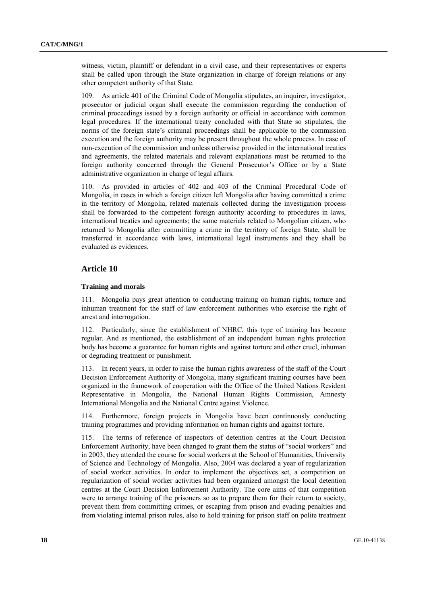witness, victim, plaintiff or defendant in a civil case, and their representatives or experts shall be called upon through the State organization in charge of foreign relations or any other competent authority of that State.

109. As article 401 of the Criminal Code of Mongolia stipulates, an inquirer, investigator, prosecutor or judicial organ shall execute the commission regarding the conduction of criminal proceedings issued by a foreign authority or official in accordance with common legal procedures. If the international treaty concluded with that State so stipulates, the norms of the foreign state's criminal proceedings shall be applicable to the commission execution and the foreign authority may be present throughout the whole process. In case of non-execution of the commission and unless otherwise provided in the international treaties and agreements, the related materials and relevant explanations must be returned to the foreign authority concerned through the General Prosecutor's Office or by a State administrative organization in charge of legal affairs.

110. As provided in articles of 402 and 403 of the Criminal Procedural Code of Mongolia, in cases in which a foreign citizen left Mongolia after having committed a crime in the territory of Mongolia, related materials collected during the investigation process shall be forwarded to the competent foreign authority according to procedures in laws, international treaties and agreements; the same materials related to Mongolian citizen, who returned to Mongolia after committing a crime in the territory of foreign State, shall be transferred in accordance with laws, international legal instruments and they shall be evaluated as evidences.

### **Article 10**

#### **Training and morals**

111. Mongolia pays great attention to conducting training on human rights, torture and inhuman treatment for the staff of law enforcement authorities who exercise the right of arrest and interrogation.

112. Particularly, since the establishment of NHRC, this type of training has become regular. And as mentioned, the establishment of an independent human rights protection body has become a guarantee for human rights and against torture and other cruel, inhuman or degrading treatment or punishment.

113. In recent years, in order to raise the human rights awareness of the staff of the Court Decision Enforcement Authority of Mongolia, many significant training courses have been organized in the framework of cooperation with the Office of the United Nations Resident Representative in Mongolia, the National Human Rights Commission, Amnesty International Mongolia and the National Centre against Violence.

114. Furthermore, foreign projects in Mongolia have been continuously conducting training programmes and providing information on human rights and against torture.

115. The terms of reference of inspectors of detention centres at the Court Decision Enforcement Authority, have been changed to grant them the status of "social workers" and in 2003, they attended the course for social workers at the School of Humanities, University of Science and Technology of Mongolia. Also, 2004 was declared a year of regularization of social worker activities. In order to implement the objectives set, a competition on regularization of social worker activities had been organized amongst the local detention centres at the Court Decision Enforcement Authority. The core aims of that competition were to arrange training of the prisoners so as to prepare them for their return to society, prevent them from committing crimes, or escaping from prison and evading penalties and from violating internal prison rules, also to hold training for prison staff on polite treatment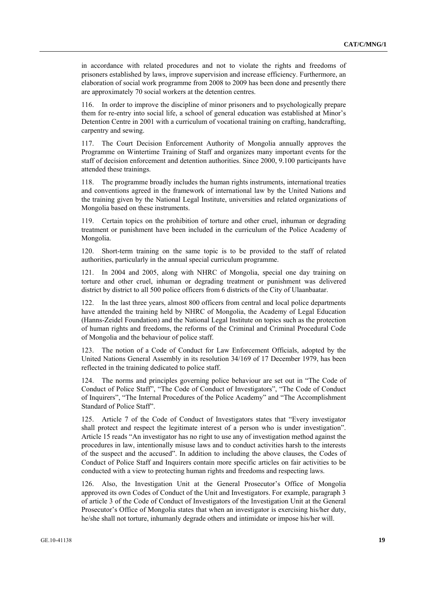in accordance with related procedures and not to violate the rights and freedoms of prisoners established by laws, improve supervision and increase efficiency. Furthermore, an elaboration of social work programme from 2008 to 2009 has been done and presently there are approximately 70 social workers at the detention centres.

116. In order to improve the discipline of minor prisoners and to psychologically prepare them for re-entry into social life, a school of general education was established at Minor's Detention Centre in 2001 with a curriculum of vocational training on crafting, handcrafting, carpentry and sewing.

117. The Court Decision Enforcement Authority of Mongolia annually approves the Programme on Wintertime Training of Staff and organizes many important events for the staff of decision enforcement and detention authorities. Since 2000, 9.100 participants have attended these trainings.

118. The programme broadly includes the human rights instruments, international treaties and conventions agreed in the framework of international law by the United Nations and the training given by the National Legal Institute, universities and related organizations of Mongolia based on these instruments.

119. Certain topics on the prohibition of torture and other cruel, inhuman or degrading treatment or punishment have been included in the curriculum of the Police Academy of Mongolia.

120. Short-term training on the same topic is to be provided to the staff of related authorities, particularly in the annual special curriculum programme.

121. In 2004 and 2005, along with NHRC of Mongolia, special one day training on torture and other cruel, inhuman or degrading treatment or punishment was delivered district by district to all 500 police officers from 6 districts of the City of Ulaanbaatar.

122. In the last three years, almost 800 officers from central and local police departments have attended the training held by NHRC of Mongolia, the Academy of Legal Education (Hanns-Zeidel Foundation) and the National Legal Institute on topics such as the protection of human rights and freedoms, the reforms of the Criminal and Criminal Procedural Code of Mongolia and the behaviour of police staff.

123. The notion of a Code of Conduct for Law Enforcement Officials, adopted by the United Nations General Assembly in its resolution 34/169 of 17 December 1979, has been reflected in the training dedicated to police staff.

124. The norms and principles governing police behaviour are set out in "The Code of Conduct of Police Staff", "The Code of Conduct of Investigators", "The Code of Conduct of Inquirers", "The Internal Procedures of the Police Academy" and "The Accomplishment Standard of Police Staff".

125. Article 7 of the Code of Conduct of Investigators states that "Every investigator shall protect and respect the legitimate interest of a person who is under investigation". Article 15 reads "An investigator has no right to use any of investigation method against the procedures in law, intentionally misuse laws and to conduct activities harsh to the interests of the suspect and the accused". In addition to including the above clauses, the Codes of Conduct of Police Staff and Inquirers contain more specific articles on fair activities to be conducted with a view to protecting human rights and freedoms and respecting laws.

126. Also, the Investigation Unit at the General Prosecutor's Office of Mongolia approved its own Codes of Conduct of the Unit and Investigators. For example, paragraph 3 of article 3 of the Code of Conduct of Investigators of the Investigation Unit at the General Prosecutor's Office of Mongolia states that when an investigator is exercising his/her duty, he/she shall not torture, inhumanly degrade others and intimidate or impose his/her will.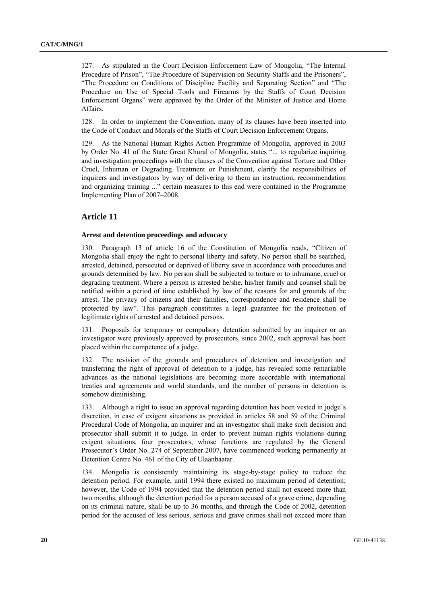127. As stipulated in the Court Decision Enforcement Law of Mongolia, "The Internal Procedure of Prison", "The Procedure of Supervision on Security Staffs and the Prisoners", "The Procedure on Conditions of Discipline Facility and Separating Section" and "The Procedure on Use of Special Tools and Firearms by the Staffs of Court Decision Enforcement Organs" were approved by the Order of the Minister of Justice and Home Affairs.

128. In order to implement the Convention, many of its clauses have been inserted into the Code of Conduct and Morals of the Staffs of Court Decision Enforcement Organs.

129. As the National Human Rights Action Programme of Mongolia, approved in 2003 by Order No. 41 of the State Great Khural of Mongolia, states "... to regularize inquiring and investigation proceedings with the clauses of the Convention against Torture and Other Cruel, Inhuman or Degrading Treatment or Punishment, clarify the responsibilities of inquirers and investigators by way of delivering to them an instruction, recommendation and organizing training ..." certain measures to this end were contained in the Programme Implementing Plan of 2007–2008.

### **Article 11**

#### **Arrest and detention proceedings and advocacy**

130. Paragraph 13 of article 16 of the Constitution of Mongolia reads, "Citizen of Mongolia shall enjoy the right to personal liberty and safety. No person shall be searched, arrested, detained, persecuted or deprived of liberty save in accordance with procedures and grounds determined by law. No person shall be subjected to torture or to inhumane, cruel or degrading treatment. Where a person is arrested he/she, his/her family and counsel shall be notified within a period of time established by law of the reasons for and grounds of the arrest. The privacy of citizens and their families, correspondence and residence shall be protected by law". This paragraph constitutes a legal guarantee for the protection of legitimate rights of arrested and detained persons.

131. Proposals for temporary or compulsory detention submitted by an inquirer or an investigator were previously approved by prosecutors, since 2002, such approval has been placed within the competence of a judge.

132. The revision of the grounds and procedures of detention and investigation and transferring the right of approval of detention to a judge, has revealed some remarkable advances as the national legislations are becoming more accordable with international treaties and agreements and world standards, and the number of persons in detention is somehow diminishing.

133. Although a right to issue an approval regarding detention has been vested in judge's discretion, in case of exigent situations as provided in articles 58 and 59 of the Criminal Procedural Code of Mongolia, an inquirer and an investigator shall make such decision and prosecutor shall submit it to judge. In order to prevent human rights violations during exigent situations, four prosecutors, whose functions are regulated by the General Prosecutor's Order No. 274 of September 2007, have commenced working permanently at Detention Centre No. 461 of the City of Ulaanbaatar.

134. Mongolia is consistently maintaining its stage-by-stage policy to reduce the detention period. For example, until 1994 there existed no maximum period of detention; however, the Code of 1994 provided that the detention period shall not exceed more than two months, although the detention period for a person accused of a grave crime, depending on its criminal nature, shall be up to 36 months, and through the Code of 2002, detention period for the accused of less serious, serious and grave crimes shall not exceed more than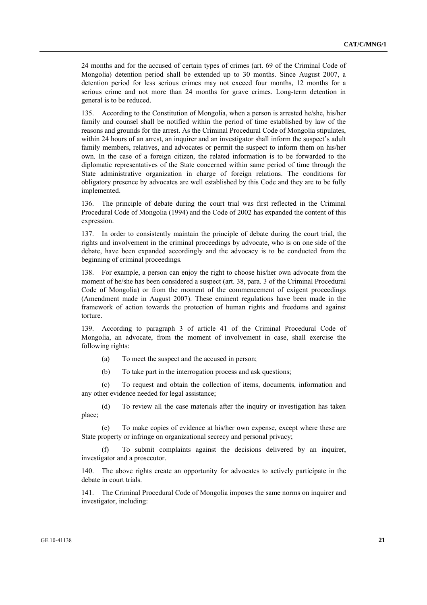24 months and for the accused of certain types of crimes (art. 69 of the Criminal Code of Mongolia) detention period shall be extended up to 30 months. Since August 2007, a detention period for less serious crimes may not exceed four months, 12 months for a serious crime and not more than 24 months for grave crimes. Long-term detention in general is to be reduced.

135. According to the Constitution of Mongolia, when a person is arrested he/she, his/her family and counsel shall be notified within the period of time established by law of the reasons and grounds for the arrest. As the Criminal Procedural Code of Mongolia stipulates, within 24 hours of an arrest, an inquirer and an investigator shall inform the suspect's adult family members, relatives, and advocates or permit the suspect to inform them on his/her own. In the case of a foreign citizen, the related information is to be forwarded to the diplomatic representatives of the State concerned within same period of time through the State administrative organization in charge of foreign relations. The conditions for obligatory presence by advocates are well established by this Code and they are to be fully implemented.

136. The principle of debate during the court trial was first reflected in the Criminal Procedural Code of Mongolia (1994) and the Code of 2002 has expanded the content of this expression.

137. In order to consistently maintain the principle of debate during the court trial, the rights and involvement in the criminal proceedings by advocate, who is on one side of the debate, have been expanded accordingly and the advocacy is to be conducted from the beginning of criminal proceedings.

138. For example, a person can enjoy the right to choose his/her own advocate from the moment of he/she has been considered a suspect (art. 38, para. 3 of the Criminal Procedural Code of Mongolia) or from the moment of the commencement of exigent proceedings (Amendment made in August 2007). These eminent regulations have been made in the framework of action towards the protection of human rights and freedoms and against torture.

139. According to paragraph 3 of article 41 of the Criminal Procedural Code of Mongolia, an advocate, from the moment of involvement in case, shall exercise the following rights:

- (a) To meet the suspect and the accused in person;
- (b) To take part in the interrogation process and ask questions;

 (c) To request and obtain the collection of items, documents, information and any other evidence needed for legal assistance;

 (d) To review all the case materials after the inquiry or investigation has taken place;

 (e) To make copies of evidence at his/her own expense, except where these are State property or infringe on organizational secrecy and personal privacy;

To submit complaints against the decisions delivered by an inquirer, investigator and a prosecutor.

140. The above rights create an opportunity for advocates to actively participate in the debate in court trials.

141. The Criminal Procedural Code of Mongolia imposes the same norms on inquirer and investigator, including: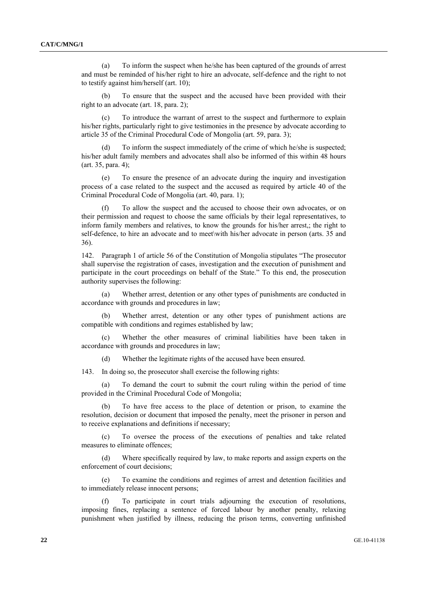(a) To inform the suspect when he/she has been captured of the grounds of arrest and must be reminded of his/her right to hire an advocate, self-defence and the right to not to testify against him/herself (art. 10);

 (b) To ensure that the suspect and the accused have been provided with their right to an advocate (art. 18, para. 2);

 (c) To introduce the warrant of arrest to the suspect and furthermore to explain his/her rights, particularly right to give testimonies in the presence by advocate according to article 35 of the Criminal Procedural Code of Mongolia (art. 59, para. 3);

 (d) To inform the suspect immediately of the crime of which he/she is suspected; his/her adult family members and advocates shall also be informed of this within 48 hours (art. 35, para. 4);

 (e) To ensure the presence of an advocate during the inquiry and investigation process of a case related to the suspect and the accused as required by article 40 of the Criminal Procedural Code of Mongolia (art. 40, para. 1);

To allow the suspect and the accused to choose their own advocates, or on their permission and request to choose the same officials by their legal representatives, to inform family members and relatives, to know the grounds for his/her arrest,; the right to self-defence, to hire an advocate and to meet\with his/her advocate in person (arts. 35 and 36).

142. Paragraph 1 of article 56 of the Constitution of Mongolia stipulates "The prosecutor shall supervise the registration of cases, investigation and the execution of punishment and participate in the court proceedings on behalf of the State." To this end, the prosecution authority supervises the following:

 (a) Whether arrest, detention or any other types of punishments are conducted in accordance with grounds and procedures in law;

 (b) Whether arrest, detention or any other types of punishment actions are compatible with conditions and regimes established by law;

 (c) Whether the other measures of criminal liabilities have been taken in accordance with grounds and procedures in law;

(d) Whether the legitimate rights of the accused have been ensured.

143. In doing so, the prosecutor shall exercise the following rights:

To demand the court to submit the court ruling within the period of time provided in the Criminal Procedural Code of Mongolia;

 (b) To have free access to the place of detention or prison, to examine the resolution, decision or document that imposed the penalty, meet the prisoner in person and to receive explanations and definitions if necessary;

 (c) To oversee the process of the executions of penalties and take related measures to eliminate offences;

 (d) Where specifically required by law, to make reports and assign experts on the enforcement of court decisions;

 (e) To examine the conditions and regimes of arrest and detention facilities and to immediately release innocent persons;

 (f) To participate in court trials adjourning the execution of resolutions, imposing fines, replacing a sentence of forced labour by another penalty, relaxing punishment when justified by illness, reducing the prison terms, converting unfinished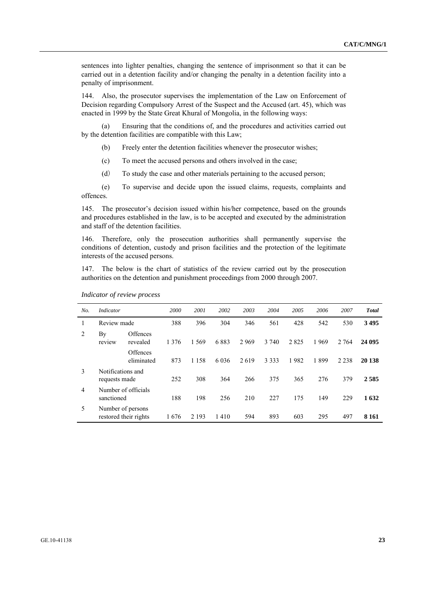sentences into lighter penalties, changing the sentence of imprisonment so that it can be carried out in a detention facility and/or changing the penalty in a detention facility into a penalty of imprisonment.

144. Also, the prosecutor supervises the implementation of the Law on Enforcement of Decision regarding Compulsory Arrest of the Suspect and the Accused (art. 45), which was enacted in 1999 by the State Great Khural of Mongolia, in the following ways:

 (a) Ensuring that the conditions of, and the procedures and activities carried out by the detention facilities are compatible with this Law;

- (b) Freely enter the detention facilities whenever the prosecutor wishes;
- (c) To meet the accused persons and others involved in the case;
- (d) To study the case and other materials pertaining to the accused person;

 (e) To supervise and decide upon the issued claims, requests, complaints and offences.

145. The prosecutor's decision issued within his/her competence, based on the grounds and procedures established in the law, is to be accepted and executed by the administration and staff of the detention facilities.

146. Therefore, only the prosecution authorities shall permanently supervise the conditions of detention, custody and prison facilities and the protection of the legitimate interests of the accused persons.

147. The below is the chart of statistics of the review carried out by the prosecution authorities on the detention and punishment proceedings from 2000 through 2007.

| No. | Indicator                          |                        | 2000    | 2001    | 2002    | 2003 | 2004    | 2005 | 2006 | 2007    | <b>Total</b> |
|-----|------------------------------------|------------------------|---------|---------|---------|------|---------|------|------|---------|--------------|
|     | Review made                        |                        | 388     | 396     | 304     | 346  | 561     | 428  | 542  | 530     | 3495         |
| 2   | By<br>review                       | Offences<br>revealed   | 1 3 7 6 | 1 5 6 9 | 6883    | 2969 | 3 740   | 2825 | 1969 | 2 7 6 4 | 24 095       |
|     |                                    | Offences<br>eliminated | 873     | 1 1 5 8 | 6 0 3 6 | 2619 | 3 3 3 3 | 1982 | 1899 | 2 2 3 8 | 20 138       |
| 3   | Notifications and<br>requests made |                        | 252     | 308     | 364     | 266  | 375     | 365  | 276  | 379     | 2585         |
| 4   | sanctioned                         | Number of officials    | 188     | 198     | 256     | 210  | 227     | 175  | 149  | 229     | 1632         |
| 5   | Number of persons                  | restored their rights  | 1676    | 2 1 9 3 | 1410    | 594  | 893     | 603  | 295  | 497     | 8 1 6 1      |

#### *Indicator of review process*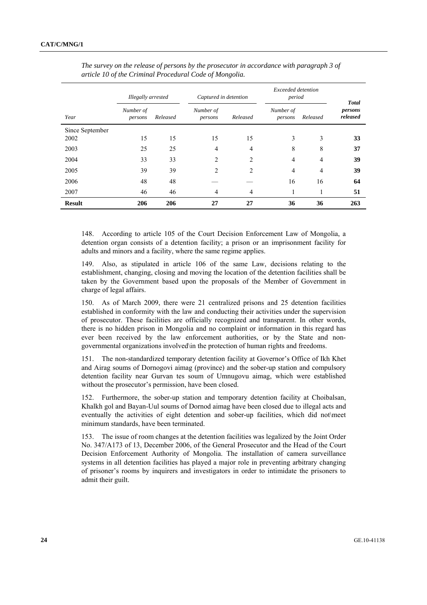|                 | Illegally arrested   |          | Captured in detention |                | Exceeded detention<br>period |          | <b>Total</b>        |
|-----------------|----------------------|----------|-----------------------|----------------|------------------------------|----------|---------------------|
| Year            | Number of<br>persons | Released | Number of<br>persons  | Released       | Number of<br>persons         | Released | persons<br>released |
| Since September |                      |          |                       |                |                              |          |                     |
| 2002            | 15                   | 15       | 15                    | 15             | 3                            | 3        | 33                  |
| 2003            | 25                   | 25       | $\overline{4}$        | $\overline{4}$ | 8                            | 8        | 37                  |
| 2004            | 33                   | 33       | $\overline{c}$        | 2              | 4                            | 4        | 39                  |
| 2005            | 39                   | 39       | 2                     | $\overline{2}$ | $\overline{4}$               | 4        | 39                  |
| 2006            | 48                   | 48       |                       |                | 16                           | 16       | 64                  |
| 2007            | 46                   | 46       | 4                     | $\overline{4}$ |                              | 1        | 51                  |
| <b>Result</b>   | 206                  | 206      | 27                    | 27             | 36                           | 36       | 263                 |

 *The survey on the release of persons by the prosecutor in accordance with paragraph 3 of article 10 of the Criminal Procedural Code of Mongolia.* 

148. According to article 105 of the Court Decision Enforcement Law of Mongolia, a detention organ consists of a detention facility; a prison or an imprisonment facility for adults and minors and a facility, where the same regime applies.

149. Also, as stipulated in article 106 of the same Law, decisions relating to the establishment, changing, closing and moving the location of the detention facilities shall be taken by the Government based upon the proposals of the Member of Government in charge of legal affairs.

150. As of March 2009, there were 21 centralized prisons and 25 detention facilities established in conformity with the law and conducting their activities under the supervision of prosecutor. These facilities are officially recognized and transparent. In other words, there is no hidden prison in Mongolia and no complaint or information in this regard has ever been received by the law enforcement authorities, or by the State and nongovernmental organizations involved\in the protection of human rights and freedoms.

151. The non-standardized temporary detention facility at Governor's Office of Ikh Khet and Airag soums of Dornogovi aimag (province) and the sober-up station and compulsory detention facility near Gurvan tes soum of Umnugovu aimag, which were established without the prosecutor's permission, have been closed.

152. Furthermore, the sober-up station and temporary detention facility at Choibalsan, Khalkh gol and Bayan-Uul soums of Dornod aimag have been closed due to illegal acts and eventually the activities of eight detention and sober-up facilities, which did not\meet minimum standards, have been terminated.

153. The issue of room changes at the detention facilities was legalized by the Joint Order No. 347/А173 of 13, December 2006, of the General Prosecutor and the Head of the Court Decision Enforcement Authority of Mongolia. The installation of camera surveillance systems in all detention facilities has played a major role in preventing arbitrary changing of prisoner's rooms by inquirers and investigators in order to intimidate the prisoners to admit their guilt.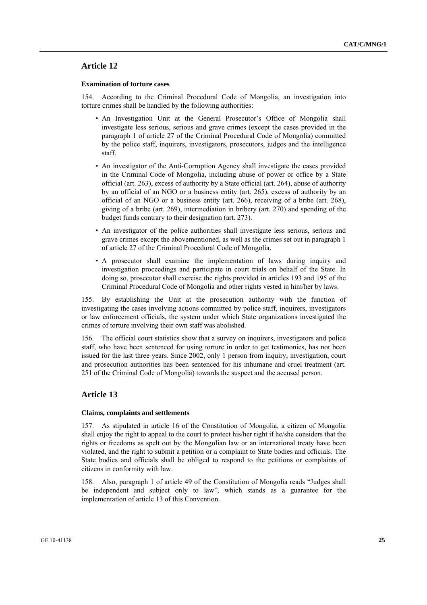### **Article 12**

#### **Examination of torture cases**

154. According to the Criminal Procedural Code of Mongolia, an investigation into torture crimes shall be handled by the following authorities:

- An Investigation Unit at the General Prosecutor's Office of Mongolia shall investigate less serious, serious and grave crimes (except the cases provided in the paragraph 1 of article 27 of the Criminal Procedural Code of Mongolia) committed by the police staff, inquirers, investigators, prosecutors, judges and the intelligence staff.
- An investigator of the Anti-Corruption Agency shall investigate the cases provided in the Criminal Code of Mongolia, including abuse of power or office by a State official (art. 263), excess of authority by a State official (art. 264), abuse of authority by an official of an NGO or a business entity (art. 265), excess of authority by an official of an NGO or a business entity (art. 266), receiving of a bribe (art. 268), giving of a bribe (art. 269), intermediation in bribery (art. 270) and spending of the budget funds contrary to their designation (art. 273).
- An investigator of the police authorities shall investigate less serious, serious and grave crimes except the abovementioned, as well as the crimes set out in paragraph 1 of article 27 of the Criminal Procedural Code of Mongolia.
- A prosecutor shall examine the implementation of laws during inquiry and investigation proceedings and participate in court trials on behalf of the State. In doing so, prosecutor shall exercise the rights provided in articles 193 and 195 of the Criminal Procedural Code of Mongolia and other rights vested in him/her by laws.

155. By establishing the Unit at the prosecution authority with the function of investigating the cases involving actions committed by police staff, inquirers, investigators or law enforcement officials, the system under which State organizations investigated the crimes of torture involving their own staff was abolished.

156. The official court statistics show that a survey on inquirers, investigators and police staff, who have been sentenced for using torture in order to get testimonies, has not been issued for the last three years. Since 2002, only 1 person from inquiry, investigation, court and prosecution authorities has been sentenced for his inhumane and cruel treatment (art. 251 of the Criminal Code of Mongolia) towards the suspect and the accused person.

### **Article 13**

#### **Claims, complaints and settlements**

157. As stipulated in article 16 of the Constitution of Mongolia, a citizen of Mongolia shall enjoy the right to appeal to the court to protect his/her right if he/she considers that the rights or freedoms as spelt out by the Mongolian law or an international treaty have been violated, and the right to submit a petition or a complaint to State bodies and officials. The State bodies and officials shall be obliged to respond to the petitions or complaints of citizens in conformity with law.

158. Also, paragraph 1 of article 49 of the Constitution of Mongolia reads "Judges shall be independent and subject only to law", which stands as a guarantee for the implementation of article 13 of this Convention.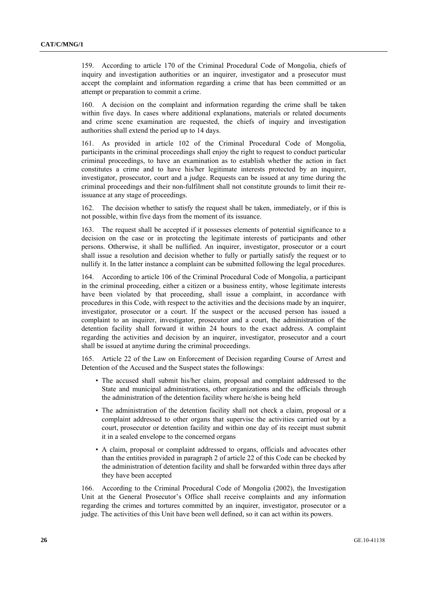159. According to article 170 of the Criminal Procedural Code of Mongolia, chiefs of inquiry and investigation authorities or an inquirer, investigator and a prosecutor must accept the complaint and information regarding a crime that has been committed or an attempt or preparation to commit a crime.

160. A decision on the complaint and information regarding the crime shall be taken within five days. In cases where additional explanations, materials or related documents and crime scene examination are requested, the chiefs of inquiry and investigation authorities shall extend the period up to 14 days.

161. As provided in article 102 of the Criminal Procedural Code of Mongolia, participants in the criminal proceedings shall enjoy the right to request to conduct particular criminal proceedings, to have an examination as to establish whether the action in fact constitutes a crime and to have his/her legitimate interests protected by an inquirer, investigator, prosecutor, court and a judge. Requests can be issued at any time during the criminal proceedings and their non-fulfilment shall not constitute grounds to limit their reissuance at any stage of proceedings.

162. The decision whether to satisfy the request shall be taken, immediately, or if this is not possible, within five days from the moment of its issuance.

163. The request shall be accepted if it possesses elements of potential significance to a decision on the case or in protecting the legitimate interests of participants and other persons. Otherwise, it shall be nullified. An inquirer, investigator, prosecutor or a court shall issue a resolution and decision whether to fully or partially satisfy the request or to nullify it. In the latter instance a complaint can be submitted following the legal procedures.

164. According to article 106 of the Criminal Procedural Code of Mongolia, a participant in the criminal proceeding, either a citizen or a business entity, whose legitimate interests have been violated by that proceeding, shall issue a complaint, in accordance with procedures in this Code, with respect to the activities and the decisions made by an inquirer, investigator, prosecutor or a court. If the suspect or the accused person has issued a complaint to an inquirer, investigator, prosecutor and a court, the administration of the detention facility shall forward it within 24 hours to the exact address. A complaint regarding the activities and decision by an inquirer, investigator, prosecutor and a court shall be issued at anytime during the criminal proceedings.

165. Article 22 of the Law on Enforcement of Decision regarding Course of Arrest and Detention of the Accused and the Suspect states the followings:

- The accused shall submit his/her claim, proposal and complaint addressed to the State and municipal administrations, other organizations and the officials through the administration of the detention facility where he/she is being held
- The administration of the detention facility shall not check a claim, proposal or a complaint addressed to other organs that supervise the activities carried out by a court, prosecutor or detention facility and within one day of its receipt must submit it in a sealed envelope to the concerned organs
- A claim, proposal or complaint addressed to organs, officials and advocates other than the entities provided in paragraph 2 of article 22 of this Code can be checked by the administration of detention facility and shall be forwarded within three days after they have been accepted

166. According to the Criminal Procedural Code of Mongolia (2002), the Investigation Unit at the General Prosecutor's Office shall receive complaints and any information regarding the crimes and tortures committed by an inquirer, investigator, prosecutor or a judge. The activities of this Unit have been well defined, so it can act within its powers.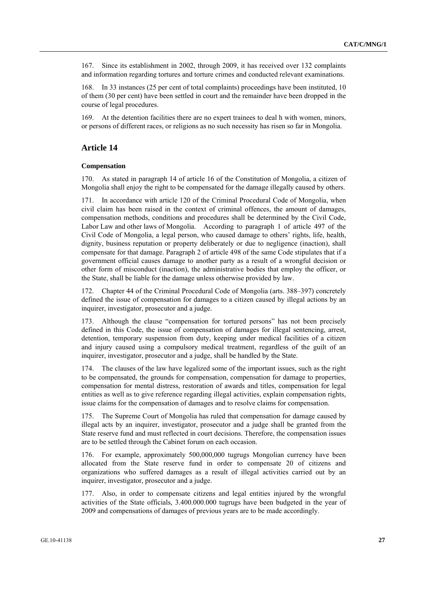167. Since its establishment in 2002, through 2009, it has received over 132 complaints and information regarding tortures and torture crimes and conducted relevant examinations.

168. In 33 instances (25 per cent of total complaints) proceedings have been instituted, 10 of them (30 per cent) have been settled in court and the remainder have been dropped in the course of legal procedures.

169. At the detention facilities there are no expert trainees to deal h with women, minors, or persons of different races, or religions as no such necessity has risen so far in Mongolia.

### **Article 14**

#### **Compensation**

170. As stated in paragraph 14 of article 16 of the Constitution of Mongolia, a citizen of Mongolia shall enjoy the right to be compensated for the damage illegally caused by others.

171. In accordance with article 120 of the Criminal Procedural Code of Mongolia, when civil claim has been raised in the context of criminal offences, the amount of damages, compensation methods, conditions and procedures shall be determined by the Civil Code, Labor Law and other laws of Mongolia. According to paragraph 1 of article 497 of the Civil Code of Mongolia, a legal person, who caused damage to others' rights, life, health, dignity, business reputation or property deliberately or due to negligence (inaction), shall compensate for that damage. Paragraph 2 of article 498 of the same Code stipulates that if a government official causes damage to another party as a result of a wrongful decision or other form of misconduct (inaction), the administrative bodies that employ the officer, or the State, shall be liable for the damage unless otherwise provided by law.

172. Chapter 44 of the Criminal Procedural Code of Mongolia (arts. 388–397) concretely defined the issue of compensation for damages to a citizen caused by illegal actions by an inquirer, investigator, prosecutor and a judge.

173. Although the clause "compensation for tortured persons" has not been precisely defined in this Code, the issue of compensation of damages for illegal sentencing, arrest, detention, temporary suspension from duty, keeping under medical facilities of a citizen and injury caused using a compulsory medical treatment, regardless of the guilt of an inquirer, investigator, prosecutor and a judge, shall be handled by the State.

174. The clauses of the law have legalized some of the important issues, such as the right to be compensated, the grounds for compensation, compensation for damage to properties, compensation for mental distress, restoration of awards and titles, compensation for legal entities as well as to give reference regarding illegal activities, explain compensation rights, issue claims for the compensation of damages and to resolve claims for compensation.

175. The Supreme Court of Mongolia has ruled that compensation for damage caused by illegal acts by an inquirer, investigator, prosecutor and a judge shall be granted from the State reserve fund and must reflected in court decisions. Therefore, the compensation issues are to be settled through the Cabinet forum on each occasion.

176. For example, approximately 500,000,000 tugrugs Mongolian currency have been allocated from the State reserve fund in order to compensate 20 of citizens and organizations who suffered damages as a result of illegal activities carried out by an inquirer, investigator, prosecutor and a judge.

177. Also, in order to compensate citizens and legal entities injured by the wrongful activities of the State officials, 3.400.000.000 tugrugs have been budgeted in the year of 2009 and compensations of damages of previous years are to be made accordingly.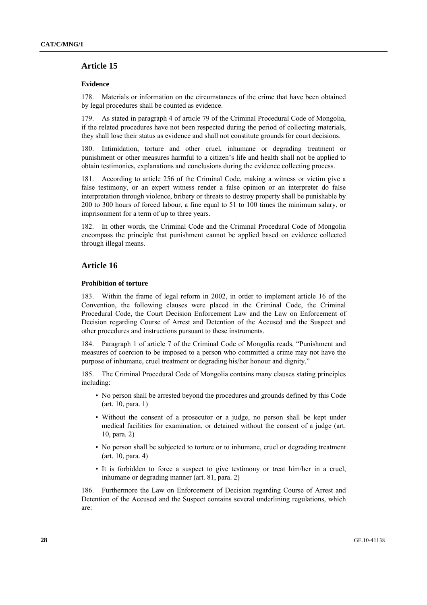### **Article 15**

#### **Evidence**

178. Materials or information on the circumstances of the crime that have been obtained by legal procedures shall be counted as evidence.

179. As stated in paragraph 4 of article 79 of the Criminal Procedural Code of Mongolia, if the related procedures have not been respected during the period of collecting materials, they shall lose their status as evidence and shall not constitute grounds for court decisions.

180. Intimidation, torture and other cruel, inhumane or degrading treatment or punishment or other measures harmful to a citizen's life and health shall not be applied to obtain testimonies, explanations and conclusions during the evidence collecting process.

181. According to article 256 of the Criminal Code, making a witness or victim give a false testimony, or an expert witness render a false opinion or an interpreter do false interpretation through violence, bribery or threats to destroy property shall be punishable by 200 to 300 hours of forced labour, a fine equal to 51 to 100 times the minimum salary, or imprisonment for a term of up to three years.

182. In other words, the Criminal Code and the Criminal Procedural Code of Mongolia encompass the principle that punishment cannot be applied based on evidence collected through illegal means.

### **Article 16**

#### **Prohibition of torture**

183. Within the frame of legal reform in 2002, in order to implement article 16 of the Convention, the following clauses were placed in the Criminal Code, the Criminal Procedural Code, the Court Decision Enforcement Law and the Law on Enforcement of Decision regarding Course of Arrest and Detention of the Accused and the Suspect and other procedures and instructions pursuant to these instruments.

184. Paragraph 1 of article 7 of the Criminal Code of Mongolia reads, "Punishment and measures of coercion to be imposed to a person who committed a crime may not have the purpose of inhumane, cruel treatment or degrading his/her honour and dignity."

185. The Criminal Procedural Code of Mongolia contains many clauses stating principles including:

- No person shall be arrested beyond the procedures and grounds defined by this Code (art. 10, para. 1)
- Without the consent of a prosecutor or a judge, no person shall be kept under medical facilities for examination, or detained without the consent of a judge (art. 10, para. 2)
- No person shall be subjected to torture or to inhumane, cruel or degrading treatment (art. 10, para. 4)
- It is forbidden to force a suspect to give testimony or treat him/her in a cruel, inhumane or degrading manner (art. 81, para. 2)

186. Furthermore the Law on Enforcement of Decision regarding Course of Arrest and Detention of the Accused and the Suspect contains several underlining regulations, which are: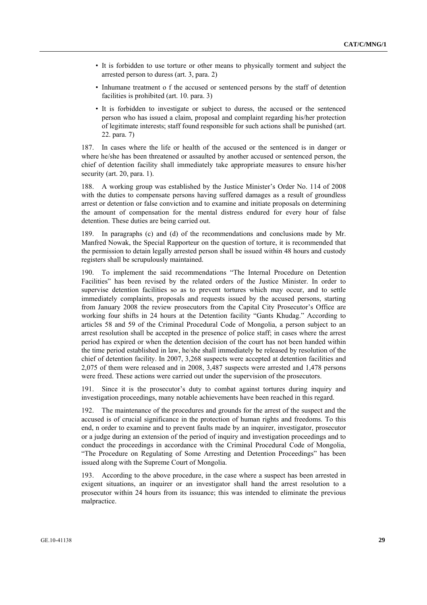- It is forbidden to use torture or other means to physically torment and subject the arrested person to duress (art. 3, para. 2)
- Inhumane treatment o f the accused or sentenced persons by the staff of detention facilities is prohibited (art. 10. para. 3)
- It is forbidden to investigate or subject to duress, the accused or the sentenced person who has issued a claim, proposal and complaint regarding his/her protection of legitimate interests; staff found responsible for such actions shall be punished (art. 22. para. 7)

187. In cases where the life or health of the accused or the sentenced is in danger or where he/she has been threatened or assaulted by another accused or sentenced person, the chief of detention facility shall immediately take appropriate measures to ensure his/her security (art. 20, para. 1).

188. A working group was established by the Justice Minister's Order No. 114 of 2008 with the duties to compensate persons having suffered damages as a result of groundless arrest or detention or false conviction and to examine and initiate proposals on determining the amount of compensation for the mental distress endured for every hour of false detention. These duties are being carried out.

189. In paragraphs (c) and (d) of the recommendations and conclusions made by Mr. Manfred Nowak, the Special Rapporteur on the question of torture, it is recommended that the permission to detain legally arrested person shall be issued within 48 hours and custody registers shall be scrupulously maintained.

190. To implement the said recommendations "The Internal Procedure on Detention Facilities" has been revised by the related orders of the Justice Minister. In order to supervise detention facilities so as to prevent tortures which may occur, and to settle immediately complaints, proposals and requests issued by the accused persons, starting from January 2008 the review prosecutors from the Capital City Prosecutor's Office are working four shifts in 24 hours at the Detention facility "Gants Khudag." According to articles 58 and 59 of the Criminal Procedural Code of Mongolia, a person subject to an arrest resolution shall be accepted in the presence of police staff; in cases where the arrest period has expired or when the detention decision of the court has not been handed within the time period established in law, he/she shall immediately be released by resolution of the chief of detention facility. In 2007, 3,268 suspects were accepted at detention facilities and 2,075 of them were released and in 2008, 3,487 suspects were arrested and 1,478 persons were freed. These actions were carried out under the supervision of the prosecutors.

191. Since it is the prosecutor's duty to combat against tortures during inquiry and investigation proceedings, many notable achievements have been reached in this regard.

192. The maintenance of the procedures and grounds for the arrest of the suspect and the accused is of crucial significance in the protection of human rights and freedoms. To this end, n order to examine and to prevent faults made by an inquirer, investigator, prosecutor or a judge during an extension of the period of inquiry and investigation proceedings and to conduct the proceedings in accordance with the Criminal Procedural Code of Mongolia, "The Procedure on Regulating of Some Arresting and Detention Proceedings" has been issued along with the Supreme Court of Mongolia.

193. According to the above procedure, in the case where a suspect has been arrested in exigent situations, an inquirer or an investigator shall hand the arrest resolution to a prosecutor within 24 hours from its issuance; this was intended to eliminate the previous malpractice.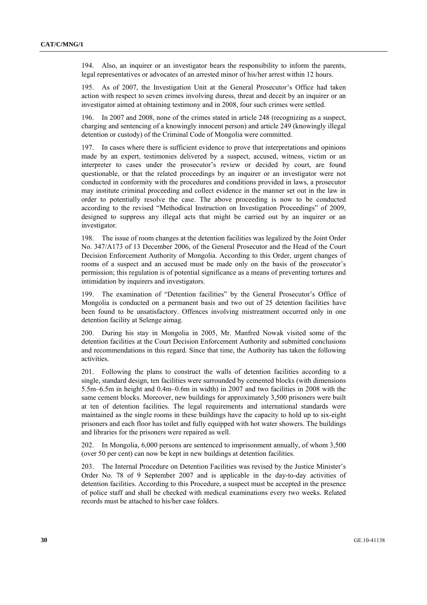194. Also, an inquirer or an investigator bears the responsibility to inform the parents, legal representatives or advocates of an arrested minor of his/her arrest within 12 hours.

195. As of 2007, the Investigation Unit at the General Prosecutor's Office had taken action with respect to seven crimes involving duress, threat and deceit by an inquirer or an investigator aimed at obtaining testimony and in 2008, four such crimes were settled.

196. In 2007 and 2008, none of the crimes stated in article 248 (recognizing as a suspect, charging and sentencing of a knowingly innocent person) and article 249 (knowingly illegal detention or custody) of the Criminal Code of Mongolia were committed.

197. In cases where there is sufficient evidence to prove that interpretations and opinions made by an expert, testimonies delivered by a suspect, accused, witness, victim or an interpreter to cases under the prosecutor's review or decided by court, are found questionable, or that the related proceedings by an inquirer or an investigator were not conducted in conformity with the procedures and conditions provided in laws, a prosecutor may institute criminal proceeding and collect evidence in the manner set out in the law in order to potentially resolve the case. The above proceeding is now to be conducted according to the revised "Methodical Instruction on Investigation Proceedings" of 2009, designed to suppress any illegal acts that might be carried out by an inquirer or an investigator.

198. The issue of room changes at the detention facilities was legalized by the Joint Order No. 347/A173 of 13 December 2006, of the General Prosecutor and the Head of the Court Decision Enforcement Authority of Mongolia. According to this Order, urgent changes of rooms of a suspect and an accused must be made only on the basis of the prosecutor's permission; this regulation is of potential significance as a means of preventing tortures and intimidation by inquirers and investigators.

199. The examination of "Detention facilities" by the General Prosecutor's Office of Mongolia is conducted on a permanent basis and two out of 25 detention facilities have been found to be unsatisfactory. Offences involving mistreatment occurred only in one detention facility at Selenge aimag.

200. During his stay in Mongolia in 2005, Mr. Manfred Nowak visited some of the detention facilities at the Court Decision Enforcement Authority and submitted conclusions and recommendations in this regard. Since that time, the Authority has taken the following activities.

201. Following the plans to construct the walls of detention facilities according to a single, standard design, ten facilities were surrounded by cemented blocks (with dimensions 5.5m–6.5m in height and 0.4m–0.6m in width) in 2007 and two facilities in 2008 with the same cement blocks. Moreover, new buildings for approximately 3,500 prisoners were built at ten of detention facilities. The legal requirements and international standards were maintained as the single rooms in these buildings have the capacity to hold up to six-eight prisoners and each floor has toilet and fully equipped with hot water showers. The buildings and libraries for the prisoners were repaired as well.

202. In Mongolia, 6,000 persons are sentenced to imprisonment annually, of whom 3,500 (over 50 per cent) can now be kept in new buildings at detention facilities.

203. The Internal Procedure on Detention Facilities was revised by the Justice Minister's Order No. 78 of 9 September 2007 and is applicable in the day-to-day activities of detention facilities. According to this Procedure, a suspect must be accepted in the presence of police staff and shall be checked with medical examinations every two weeks. Related records must be attached to his/her case folders.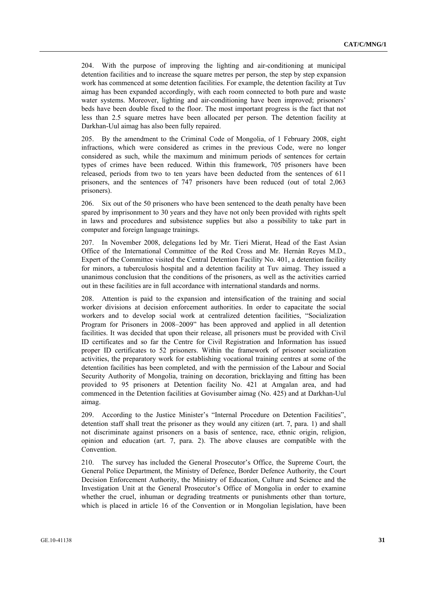204. With the purpose of improving the lighting and air-conditioning at municipal detention facilities and to increase the square metres per person, the step by step expansion work has commenced at some detention facilities. For example, the detention facility at Tuv aimag has been expanded accordingly, with each room connected to both pure and waste water systems. Moreover, lighting and air-conditioning have been improved; prisoners' beds have been double fixed to the floor. The most important progress is the fact that not less than 2.5 square metres have been allocated per person. The detention facility at Darkhan-Uul aimag has also been fully repaired.

205. By the amendment to the Criminal Code of Mongolia, of 1 February 2008, eight infractions, which were considered as crimes in the previous Code, were no longer considered as such, while the maximum and minimum periods of sentences for certain types of crimes have been reduced. Within this framework, 705 prisoners have been released, periods from two to ten years have been deducted from the sentences of 611 prisoners, and the sentences of 747 prisoners have been reduced (out of total 2,063 prisoners).

206. Six out of the 50 prisoners who have been sentenced to the death penalty have been spared by imprisonment to 30 years and they have not only been provided with rights spelt in laws and procedures and subsistence supplies but also a possibility to take part in computer and foreign language trainings.

207. In November 2008, delegations led by Mr. Tieri Mierat, Head of the East Asian Office of the International Committee of the Red Cross and Mr. Hernàn Reyes M.D., Expert of the Committee visited the Central Detention Facility No. 401, a detention facility for minors, a tuberculosis hospital and a detention facility at Tuv aimag. They issued a unanimous conclusion that the conditions of the prisoners, as well as the activities carried out in these facilities are in full accordance with international standards and norms.

208. Attention is paid to the expansion and intensification of the training and social worker divisions at decision enforcement authorities. In order to capacitate the social workers and to develop social work at centralized detention facilities, "Socialization Program for Prisoners in 2008–2009" has been approved and applied in all detention facilities. It was decided that upon their release, all prisoners must be provided with Civil ID certificates and so far the Centre for Civil Registration and Information has issued proper ID certificates to 52 prisoners. Within the framework of prisoner socialization activities, the preparatory work for establishing vocational training centres at some of the detention facilities has been completed, and with the permission of the Labour and Social Security Authority of Mongolia, training on decoration, bricklaying and fitting has been provided to 95 prisoners at Detention facility No. 421 at Amgalan area, and had commenced in the Detention facilities at Govisumber aimag (No. 425) and at Darkhan-Uul aimag.

209. According to the Justice Minister's "Internal Procedure on Detention Facilities", detention staff shall treat the prisoner as they would any citizen (art. 7, para. 1) and shall not discriminate against prisoners on a basis of sentence, race, ethnic origin, religion, opinion and education (art. 7, para. 2). The above clauses are compatible with the Convention.

210. The survey has included the General Prosecutor's Office, the Supreme Court, the General Police Department, the Ministry of Defence, Border Defence Authority, the Court Decision Enforcement Authority, the Ministry of Education, Culture and Science and the Investigation Unit at the General Prosecutor's Office of Mongolia in order to examine whether the cruel, inhuman or degrading treatments or punishments other than torture, which is placed in article 16 of the Convention or in Mongolian legislation, have been